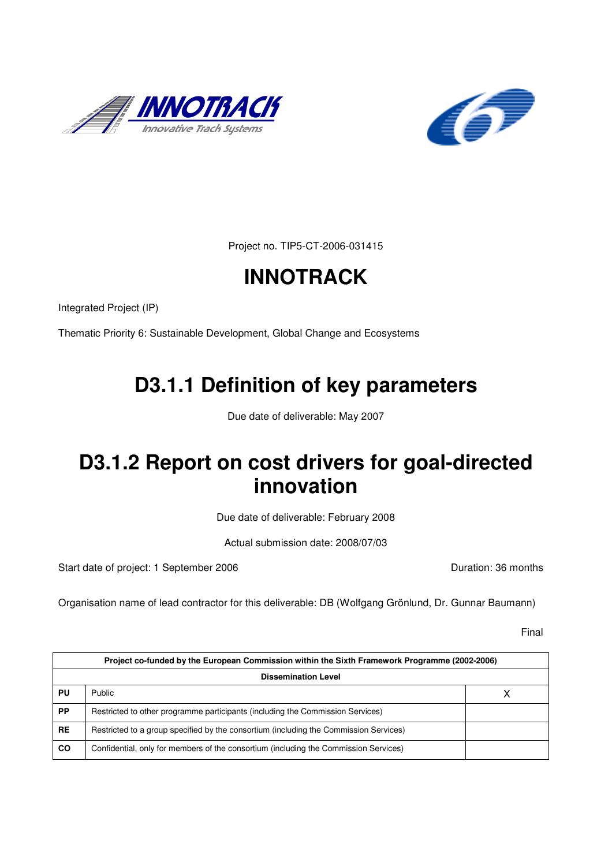



Project no. TIP5-CT-2006-031415

# **INNOTRACK**

Integrated Project (IP)

Thematic Priority 6: Sustainable Development, Global Change and Ecosystems

# **D3.1.1 Definition of key parameters**

Due date of deliverable: May 2007

# **D3.1.2 Report on cost drivers for goal-directed innovation**

Due date of deliverable: February 2008

Actual submission date: 2008/07/03

Start date of project: 1 September 2006 **Duration: 36 months** 

Organisation name of lead contractor for this deliverable: DB (Wolfgang Grönlund, Dr. Gunnar Baumann)

Final

|           | Project co-funded by the European Commission within the Sixth Framework Programme (2002-2006) |  |  |  |  |
|-----------|-----------------------------------------------------------------------------------------------|--|--|--|--|
|           | <b>Dissemination Level</b>                                                                    |  |  |  |  |
| PU        | Public                                                                                        |  |  |  |  |
| <b>PP</b> | Restricted to other programme participants (including the Commission Services)                |  |  |  |  |
| <b>RE</b> | Restricted to a group specified by the consortium (including the Commission Services)         |  |  |  |  |
| <b>CO</b> | Confidential, only for members of the consortium (including the Commission Services)          |  |  |  |  |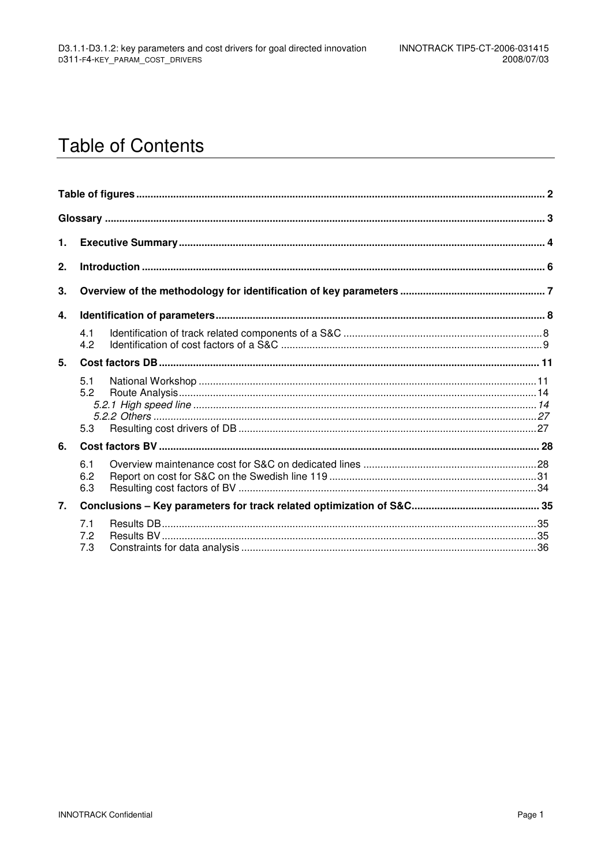# **Table of Contents**

| 1. |                   |  |  |  |  |  |  |
|----|-------------------|--|--|--|--|--|--|
| 2. |                   |  |  |  |  |  |  |
| 3. |                   |  |  |  |  |  |  |
| 4. |                   |  |  |  |  |  |  |
|    | 4.1<br>4.2        |  |  |  |  |  |  |
| 5. |                   |  |  |  |  |  |  |
|    | 5.1<br>5.2<br>5.3 |  |  |  |  |  |  |
| 6. |                   |  |  |  |  |  |  |
|    | 6.1<br>6.2<br>6.3 |  |  |  |  |  |  |
| 7. |                   |  |  |  |  |  |  |
|    | 7.1<br>7.2<br>7.3 |  |  |  |  |  |  |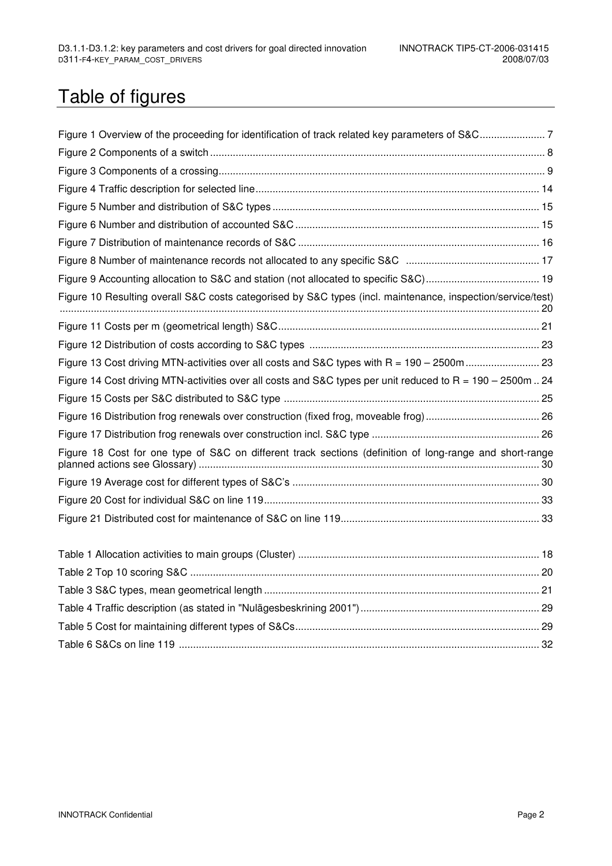# Table of figures

| Figure 10 Resulting overall S&C costs categorised by S&C types (incl. maintenance, inspection/service/test)  |  |
|--------------------------------------------------------------------------------------------------------------|--|
|                                                                                                              |  |
|                                                                                                              |  |
| Figure 13 Cost driving MTN-activities over all costs and S&C types with R = 190 - 2500m  23                  |  |
| Figure 14 Cost driving MTN-activities over all costs and S&C types per unit reduced to $R = 190 - 2500$ m 24 |  |
|                                                                                                              |  |
|                                                                                                              |  |
|                                                                                                              |  |
| Figure 18 Cost for one type of S&C on different track sections (definition of long-range and short-range     |  |
|                                                                                                              |  |
|                                                                                                              |  |
|                                                                                                              |  |
|                                                                                                              |  |
|                                                                                                              |  |
|                                                                                                              |  |
|                                                                                                              |  |
|                                                                                                              |  |

Table 6 S&Cs on line 119 ............................................................................................................................... 32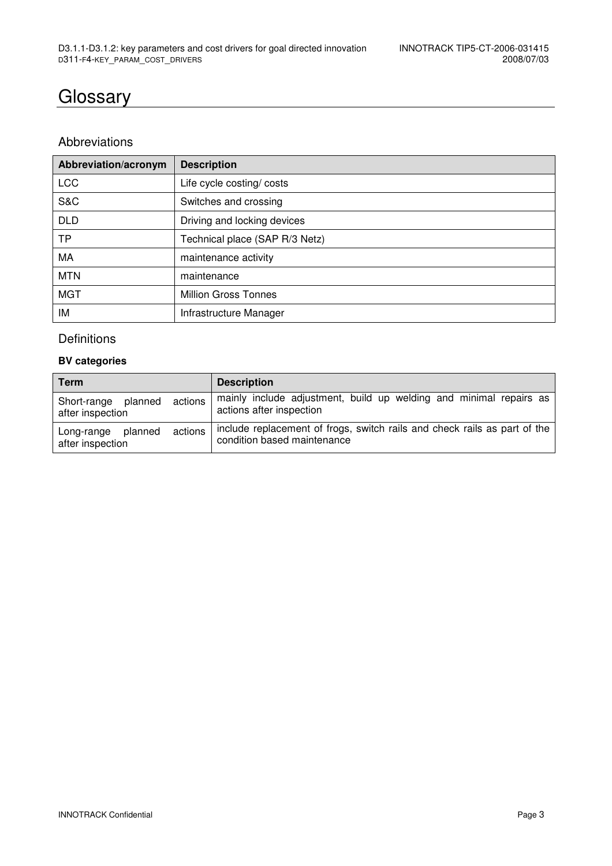## **Glossary**

### Abbreviations

| Abbreviation/acronym | <b>Description</b>             |
|----------------------|--------------------------------|
| <b>LCC</b>           | Life cycle costing/ costs      |
| S&C                  | Switches and crossing          |
| <b>DLD</b>           | Driving and locking devices    |
| <b>TP</b>            | Technical place (SAP R/3 Netz) |
| MA                   | maintenance activity           |
| <b>MTN</b>           | maintenance                    |
| <b>MGT</b>           | <b>Million Gross Tonnes</b>    |
| ΙM                   | Infrastructure Manager         |

### Definitions

#### **BV categories**

| Term                                                  | <b>Description</b>                                                                                       |
|-------------------------------------------------------|----------------------------------------------------------------------------------------------------------|
| actions<br>planned<br>Short-range<br>after inspection | mainly include adjustment, build up welding and minimal repairs as<br>actions after inspection           |
| actions<br>planned<br>Long-range<br>after inspection  | include replacement of frogs, switch rails and check rails as part of the<br>condition based maintenance |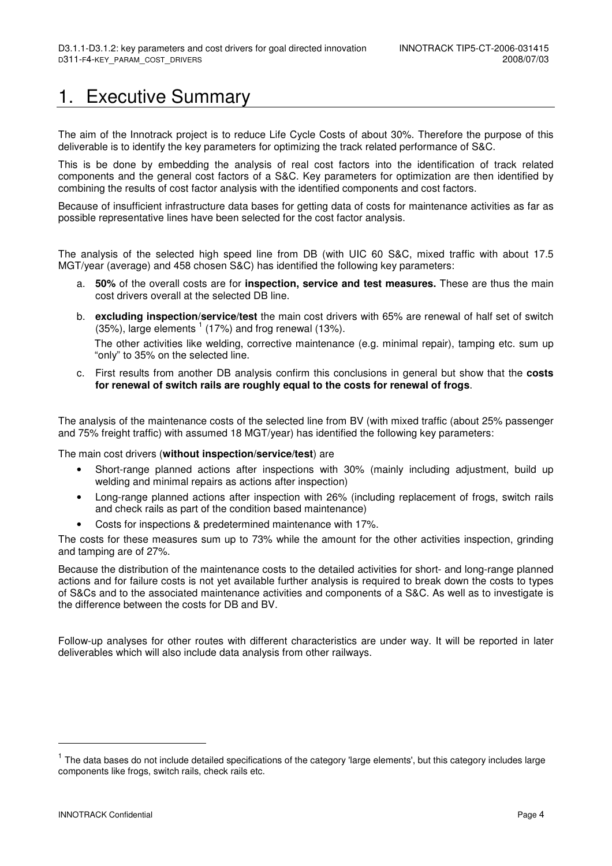## 1. Executive Summary

The aim of the Innotrack project is to reduce Life Cycle Costs of about 30%. Therefore the purpose of this deliverable is to identify the key parameters for optimizing the track related performance of S&C.

This is be done by embedding the analysis of real cost factors into the identification of track related components and the general cost factors of a S&C. Key parameters for optimization are then identified by combining the results of cost factor analysis with the identified components and cost factors.

Because of insufficient infrastructure data bases for getting data of costs for maintenance activities as far as possible representative lines have been selected for the cost factor analysis.

The analysis of the selected high speed line from DB (with UIC 60 S&C, mixed traffic with about 17.5 MGT/year (average) and 458 chosen S&C) has identified the following key parameters:

- a. **50%** of the overall costs are for **inspection, service and test measures.** These are thus the main cost drivers overall at the selected DB line.
- b. **excluding inspection/service/test** the main cost drivers with 65% are renewal of half set of switch  $(35%)$ , large elements  $<sup>1</sup>$  (17%) and frog renewal (13%).</sup> The other activities like welding, corrective maintenance (e.g. minimal repair), tamping etc. sum up "only" to 35% on the selected line.
- c. First results from another DB analysis confirm this conclusions in general but show that the **costs for renewal of switch rails are roughly equal to the costs for renewal of frogs**.

The analysis of the maintenance costs of the selected line from BV (with mixed traffic (about 25% passenger and 75% freight traffic) with assumed 18 MGT/year) has identified the following key parameters:

The main cost drivers (**without inspection/service/test**) are

- Short-range planned actions after inspections with 30% (mainly including adjustment, build up welding and minimal repairs as actions after inspection)
- Long-range planned actions after inspection with 26% (including replacement of frogs, switch rails and check rails as part of the condition based maintenance)
- Costs for inspections & predetermined maintenance with 17%.

The costs for these measures sum up to 73% while the amount for the other activities inspection, grinding and tamping are of 27%.

Because the distribution of the maintenance costs to the detailed activities for short- and long-range planned actions and for failure costs is not yet available further analysis is required to break down the costs to types of S&Cs and to the associated maintenance activities and components of a S&C. As well as to investigate is the difference between the costs for DB and BV.

Follow-up analyses for other routes with different characteristics are under way. It will be reported in later deliverables which will also include data analysis from other railways.

-

<sup>&</sup>lt;sup>1</sup> The data bases do not include detailed specifications of the category 'large elements', but this category includes large components like frogs, switch rails, check rails etc.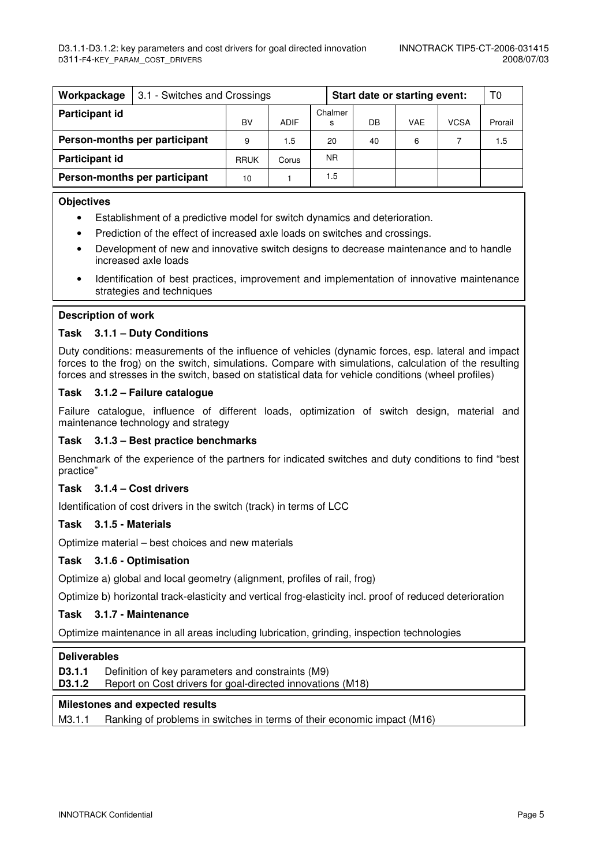| Workpackage                   | 3.1 - Switches and Crossings  |             |       |              | Start date or starting event: | T0  |             |         |
|-------------------------------|-------------------------------|-------------|-------|--------------|-------------------------------|-----|-------------|---------|
| Participant id                |                               | BV          | ADIF  | Chalmer<br>s | DB                            | VAE | <b>VCSA</b> | Prorail |
| Person-months per participant |                               | 9           | 1.5   | 20           | 40                            | 6   |             | 1.5     |
| Participant id                |                               | <b>RRUK</b> | Corus | NR.          |                               |     |             |         |
|                               | Person-months per participant | 10          |       | 1.5          |                               |     |             |         |

#### **Objectives**

- Establishment of a predictive model for switch dynamics and deterioration.
- Prediction of the effect of increased axle loads on switches and crossings.
- Development of new and innovative switch designs to decrease maintenance and to handle increased axle loads
- Identification of best practices, improvement and implementation of innovative maintenance strategies and techniques

#### **Description of work**

#### **Task 3.1.1 – Duty Conditions**

Duty conditions: measurements of the influence of vehicles (dynamic forces, esp. lateral and impact forces to the frog) on the switch, simulations. Compare with simulations, calculation of the resulting forces and stresses in the switch, based on statistical data for vehicle conditions (wheel profiles)

#### **Task 3.1.2 – Failure catalogue**

Failure catalogue, influence of different loads, optimization of switch design, material and maintenance technology and strategy

#### **Task 3.1.3 – Best practice benchmarks**

Benchmark of the experience of the partners for indicated switches and duty conditions to find "best practice"

#### **Task 3.1.4 – Cost drivers**

Identification of cost drivers in the switch (track) in terms of LCC

#### **Task 3.1.5 - Materials**

Optimize material – best choices and new materials

#### **Task 3.1.6 - Optimisation**

Optimize a) global and local geometry (alignment, profiles of rail, frog)

Optimize b) horizontal track-elasticity and vertical frog-elasticity incl. proof of reduced deterioration

#### **Task 3.1.7 - Maintenance**

Optimize maintenance in all areas including lubrication, grinding, inspection technologies

#### **Deliverables**

**D3.1.1** Definition of key parameters and constraints (M9)

**D3.1.2** • Report on Cost drivers for goal-directed innovations (M18)

#### **Milestones and expected results**

M3.1.1 Ranking of problems in switches in terms of their economic impact (M16)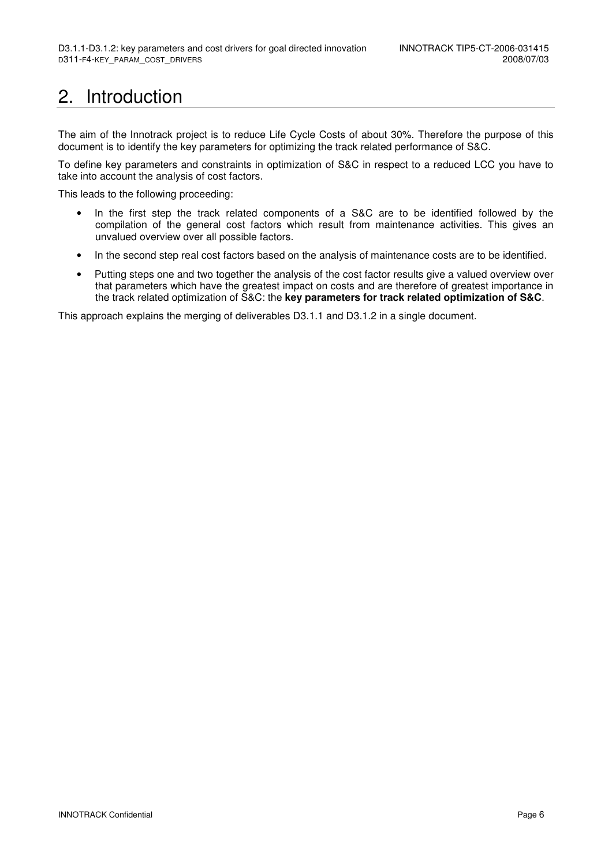# 2. Introduction

The aim of the Innotrack project is to reduce Life Cycle Costs of about 30%. Therefore the purpose of this document is to identify the key parameters for optimizing the track related performance of S&C.

To define key parameters and constraints in optimization of S&C in respect to a reduced LCC you have to take into account the analysis of cost factors.

This leads to the following proceeding:

- In the first step the track related components of a S&C are to be identified followed by the compilation of the general cost factors which result from maintenance activities. This gives an unvalued overview over all possible factors.
- In the second step real cost factors based on the analysis of maintenance costs are to be identified.
- Putting steps one and two together the analysis of the cost factor results give a valued overview over that parameters which have the greatest impact on costs and are therefore of greatest importance in the track related optimization of S&C: the **key parameters for track related optimization of S&C**.

This approach explains the merging of deliverables D3.1.1 and D3.1.2 in a single document.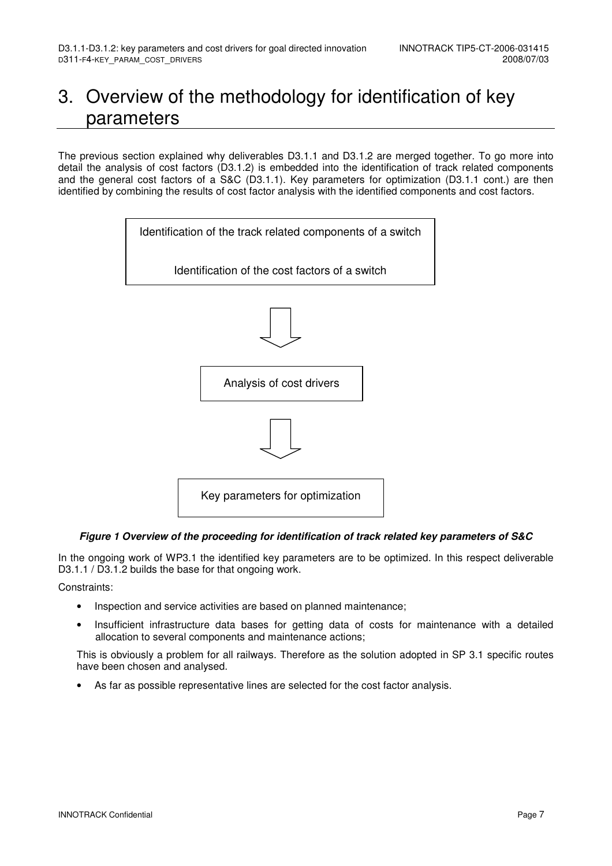# 3. Overview of the methodology for identification of key parameters

The previous section explained why deliverables D3.1.1 and D3.1.2 are merged together. To go more into detail the analysis of cost factors (D3.1.2) is embedded into the identification of track related components and the general cost factors of a S&C (D3.1.1). Key parameters for optimization (D3.1.1 cont.) are then identified by combining the results of cost factor analysis with the identified components and cost factors.



#### **Figure 1 Overview of the proceeding for identification of track related key parameters of S&C**

In the ongoing work of WP3.1 the identified key parameters are to be optimized. In this respect deliverable D3.1.1 / D3.1.2 builds the base for that ongoing work.

#### Constraints:

- Inspection and service activities are based on planned maintenance;
- Insufficient infrastructure data bases for getting data of costs for maintenance with a detailed allocation to several components and maintenance actions;

This is obviously a problem for all railways. Therefore as the solution adopted in SP 3.1 specific routes have been chosen and analysed.

• As far as possible representative lines are selected for the cost factor analysis.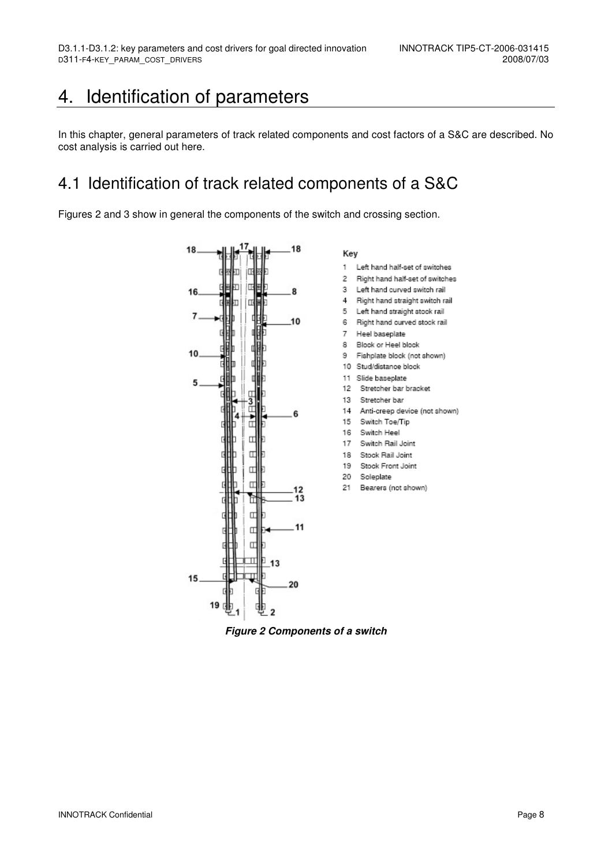## 4. Identification of parameters

In this chapter, general parameters of track related components and cost factors of a S&C are described. No cost analysis is carried out here.

### 4.1 Identification of track related components of a S&C

Figures 2 and 3 show in general the components of the switch and crossing section.



**Figure 2 Components of a switch**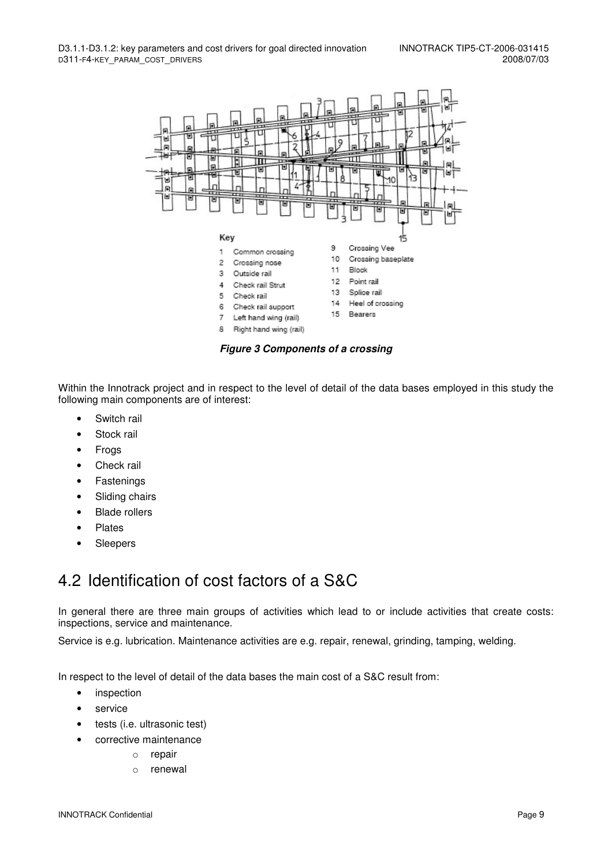

**Figure 3 Components of a crossing** 

Within the Innotrack project and in respect to the level of detail of the data bases employed in this study the following main components are of interest:

- Switch rail
- Stock rail
- Frogs
- Check rail
- Fastenings
- Sliding chairs
- Blade rollers
- Plates
- Sleepers

### 4.2 Identification of cost factors of a S&C

In general there are three main groups of activities which lead to or include activities that create costs: inspections, service and maintenance.

Service is e.g. lubrication. Maintenance activities are e.g. repair, renewal, grinding, tamping, welding.

In respect to the level of detail of the data bases the main cost of a S&C result from:

- inspection
- service
- tests (i.e. ultrasonic test)
- corrective maintenance
	- o repair
	- o renewal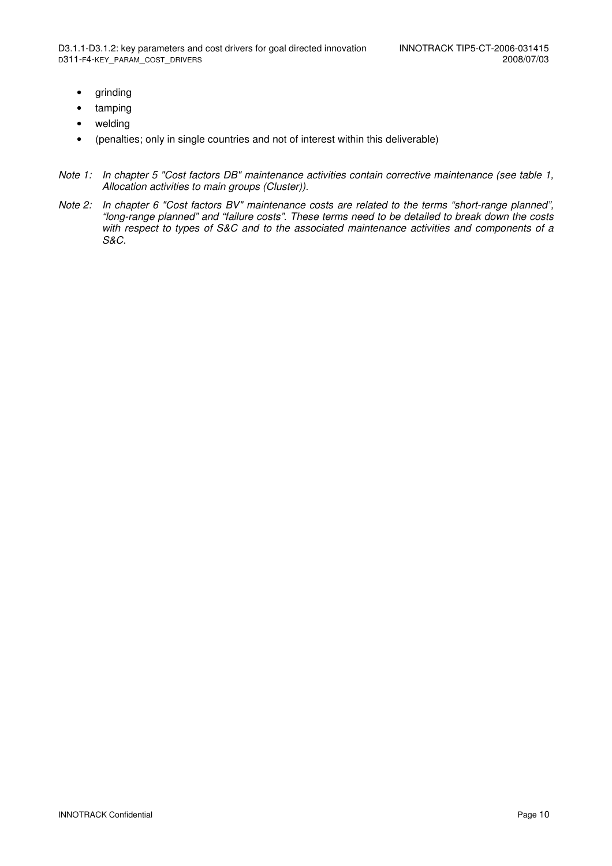- grinding
- tamping
- welding
- (penalties; only in single countries and not of interest within this deliverable)
- Note 1: In chapter 5 "Cost factors DB" maintenance activities contain corrective maintenance (see table 1, Allocation activities to main groups (Cluster)).
- Note 2: In chapter 6 "Cost factors BV" maintenance costs are related to the terms "short-range planned", "long-range planned" and "failure costs". These terms need to be detailed to break down the costs with respect to types of S&C and to the associated maintenance activities and components of a S&C.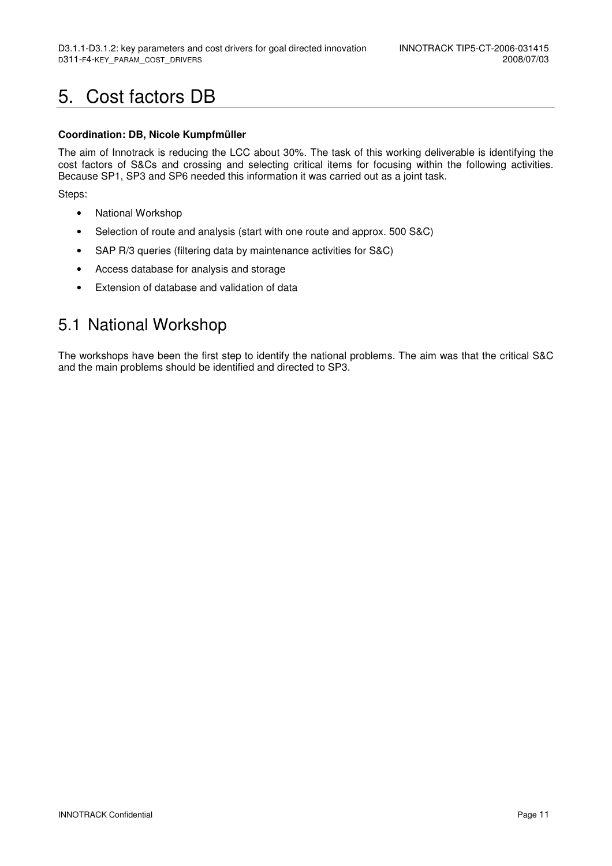# 5. Cost factors DB

#### **Coordination: DB, Nicole Kumpfmüller**

The aim of Innotrack is reducing the LCC about 30%. The task of this working deliverable is identifying the cost factors of S&Cs and crossing and selecting critical items for focusing within the following activities. Because SP1, SP3 and SP6 needed this information it was carried out as a joint task.

Steps:

- National Workshop
- Selection of route and analysis (start with one route and approx. 500 S&C)
- SAP R/3 queries (filtering data by maintenance activities for S&C)
- Access database for analysis and storage
- Extension of database and validation of data

### 5.1 National Workshop

The workshops have been the first step to identify the national problems. The aim was that the critical S&C and the main problems should be identified and directed to SP3.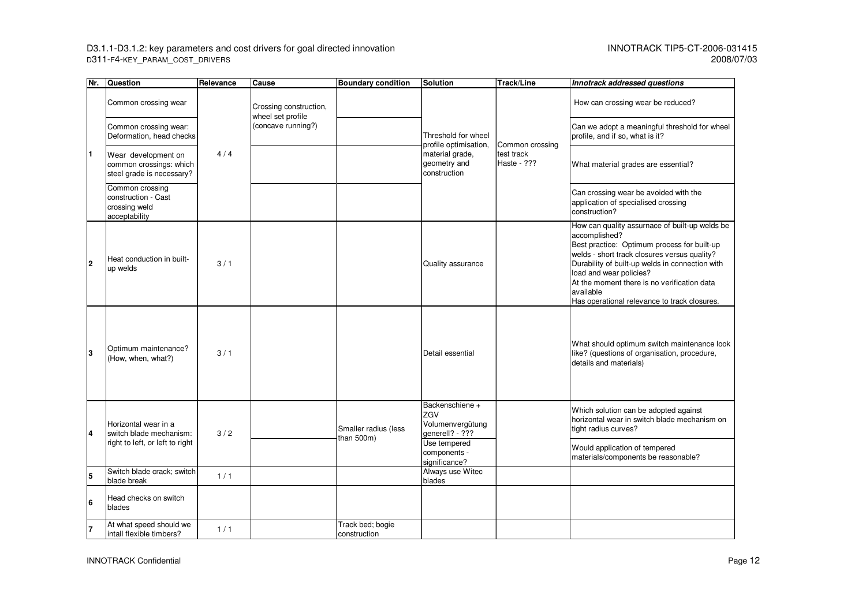D3.1.1-D3.1.2: key parameters and cost drivers for goal directed innovation InNOTRACK TIP5-CT-2006-031415 D311-F4-KEY\_PARAM\_COST\_DRIVERS 2008/07/03

| Nr. | <b>Question</b>                                                             | Relevance | Cause                                       | <b>Boundary condition</b>          | <b>Solution</b>                                               | <b>Track/Line</b>         | Innotrack addressed questions                                                                                                                                                                                                                                                                                                                            |
|-----|-----------------------------------------------------------------------------|-----------|---------------------------------------------|------------------------------------|---------------------------------------------------------------|---------------------------|----------------------------------------------------------------------------------------------------------------------------------------------------------------------------------------------------------------------------------------------------------------------------------------------------------------------------------------------------------|
|     | Common crossing wear                                                        |           | Crossing construction,<br>wheel set profile |                                    |                                                               |                           | How can crossing wear be reduced?                                                                                                                                                                                                                                                                                                                        |
| I1. | Common crossing wear:<br>Deformation, head checks                           |           | (concave running?)                          |                                    | Threshold for wheel<br>profile optimisation,                  | Common crossing           | Can we adopt a meaningful threshold for wheel<br>profile, and if so, what is it?                                                                                                                                                                                                                                                                         |
|     | Wear development on<br>common crossings: which<br>steel grade is necessary? | 4/4       |                                             |                                    | material grade,<br>geometry and<br>construction               | test track<br>Haste - ??? | What material grades are essential?                                                                                                                                                                                                                                                                                                                      |
|     | Common crossing<br>construction - Cast<br>crossing weld<br>acceptability    |           |                                             |                                    |                                                               |                           | Can crossing wear be avoided with the<br>application of specialised crossing<br>construction?                                                                                                                                                                                                                                                            |
| l2  | Heat conduction in built-<br>up welds                                       | 3/1       |                                             |                                    | Quality assurance                                             |                           | How can quality assurnace of built-up welds be<br>accomplished?<br>Best practice: Optimum process for built-up<br>welds - short track closures versus quality?<br>Durability of built-up welds in connection with<br>load and wear policies?<br>At the moment there is no verification data<br>available<br>Has operational relevance to track closures. |
| l3  | Optimum maintenance?<br>(How, when, what?)                                  | 3/1       |                                             |                                    | Detail essential                                              |                           | What should optimum switch maintenance look<br>like? (questions of organisation, procedure,<br>details and materials)                                                                                                                                                                                                                                    |
| 14  | Horizontal wear in a<br>switch blade mechanism:                             | 3/2       |                                             | Smaller radius (less<br>than 500m) | Backenschiene +<br>ZGV<br>Volumenvergütung<br>generell? - ??? |                           | Which solution can be adopted against<br>horizontal wear in switch blade mechanism on<br>tight radius curves?                                                                                                                                                                                                                                            |
|     | right to left, or left to right                                             |           |                                             |                                    | Use tempered<br>components -<br>significance?                 |                           | Would application of tempered<br>materials/components be reasonable?                                                                                                                                                                                                                                                                                     |
| 5   | Switch blade crack; switch<br>blade break                                   | 1/1       |                                             |                                    | Always use Witec<br>blades                                    |                           |                                                                                                                                                                                                                                                                                                                                                          |
| 16  | Head checks on switch<br>blades                                             |           |                                             |                                    |                                                               |                           |                                                                                                                                                                                                                                                                                                                                                          |
|     | At what speed should we<br>intall flexible timbers?                         | 1/1       |                                             | Track bed; bogie<br>construction   |                                                               |                           |                                                                                                                                                                                                                                                                                                                                                          |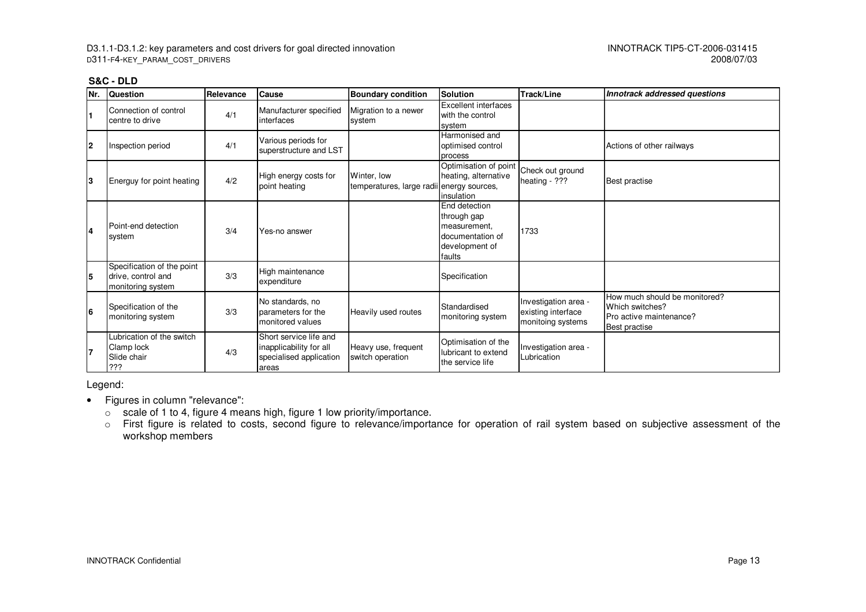| <b>S&amp;C - DLD</b> |
|----------------------|
|                      |

| Nr. | <b>Question</b>                                                       | Relevance | <b>Cause</b>                                                                          | <b>Boundary condition</b>                                | Solution                                                                                     | Track/Line                                                      | Innotrack addressed questions                                                                |
|-----|-----------------------------------------------------------------------|-----------|---------------------------------------------------------------------------------------|----------------------------------------------------------|----------------------------------------------------------------------------------------------|-----------------------------------------------------------------|----------------------------------------------------------------------------------------------|
| I1  | Connection of control<br>centre to drive                              | 4/1       | Manufacturer specified<br>interfaces                                                  | Migration to a newer<br>system                           | Excellent interfaces<br>with the control<br>system                                           |                                                                 |                                                                                              |
| l2  | Inspection period                                                     | 4/1       | Various periods for<br>superstructure and LST                                         |                                                          | Harmonised and<br>optimised control<br>process                                               |                                                                 | Actions of other railways                                                                    |
| IЗ  | Energuy for point heating                                             | 4/2       | High energy costs for<br>point heating                                                | Winter, low<br>temperatures, large radii energy sources, | Optimisation of point<br>heating, alternative<br>insulation                                  | Check out ground<br>heating - ???                               | Best practise                                                                                |
| l4  | Point-end detection<br>system                                         | 3/4       | Yes-no answer                                                                         |                                                          | End detection<br>through gap<br>measurement.<br>documentation of<br>development of<br>faults | 1733                                                            |                                                                                              |
| l5  | Specification of the point<br>drive, control and<br>monitoring system | 3/3       | High maintenance<br>expenditure                                                       |                                                          | Specification                                                                                |                                                                 |                                                                                              |
| l6  | Specification of the<br>monitoring system                             | 3/3       | No standards, no<br>parameters for the<br>monitored values                            | Heavily used routes                                      | Standardised<br>monitoring system                                                            | Investigation area -<br>existing interface<br>monitoing systems | How much should be monitored?<br>Which switches?<br>Pro active maintenance?<br>Best practise |
|     | Lubrication of the switch<br>Clamp lock<br>Slide chair<br>???         | 4/3       | Short service life and<br>inapplicability for all<br>specialised application<br>areas | Heavy use, frequent<br>switch operation                  | Optimisation of the<br>lubricant to extend<br>the service life                               | Investigation area -<br>Lubrication                             |                                                                                              |

Legend:

- Figures in column "relevance":
	- $\circ$  scale of 1 to 4, figure 4 means high, figure 1 low priority/importance.
	- o First figure is related to costs, second figure to relevance/importance for operation of rail system based on subjective assessment of the workshop members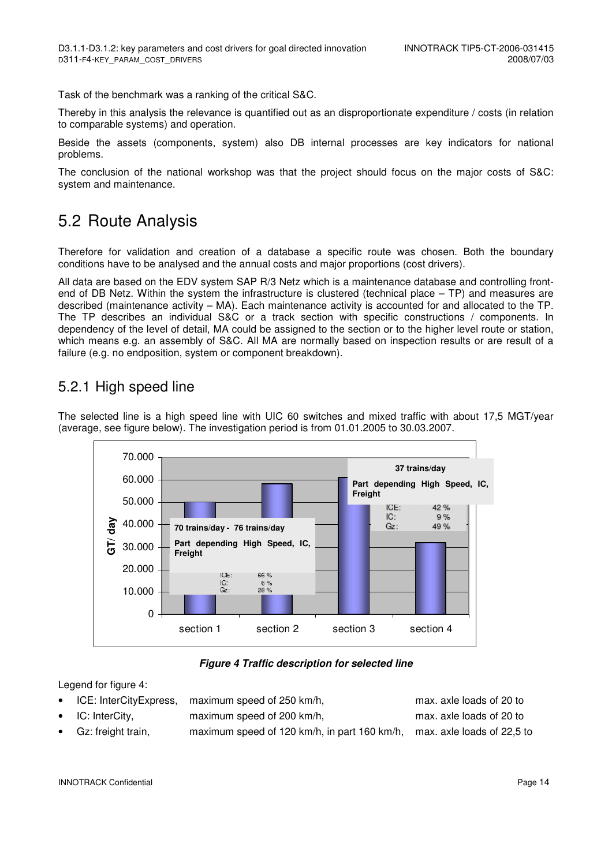Task of the benchmark was a ranking of the critical S&C.

Thereby in this analysis the relevance is quantified out as an disproportionate expenditure / costs (in relation to comparable systems) and operation.

Beside the assets (components, system) also DB internal processes are key indicators for national problems.

The conclusion of the national workshop was that the project should focus on the major costs of S&C: system and maintenance.

### 5.2 Route Analysis

Therefore for validation and creation of a database a specific route was chosen. Both the boundary conditions have to be analysed and the annual costs and major proportions (cost drivers).

All data are based on the EDV system SAP R/3 Netz which is a maintenance database and controlling frontend of DB Netz. Within the system the infrastructure is clustered (technical place – TP) and measures are described (maintenance activity – MA). Each maintenance activity is accounted for and allocated to the TP. The TP describes an individual S&C or a track section with specific constructions / components. In dependency of the level of detail, MA could be assigned to the section or to the higher level route or station, which means e.g. an assembly of S&C. All MA are normally based on inspection results or are result of a failure (e.g. no endposition, system or component breakdown).

### 5.2.1 High speed line

The selected line is a high speed line with UIC 60 switches and mixed traffic with about 17,5 MGT/year (average, see figure below). The investigation period is from 01.01.2005 to 30.03.2007.



#### **Figure 4 Traffic description for selected line**

Legend for figure 4:

| • ICE: InterCityExpress,     | maximum speed of 250 km/h,                                              | max. axle loads of 20 to |
|------------------------------|-------------------------------------------------------------------------|--------------------------|
| $\bullet$ IC: InterCity,     | maximum speed of 200 km/h,                                              | max. axle loads of 20 to |
| $\bullet$ Gz: freight train, | maximum speed of 120 km/h, in part 160 km/h, max. axle loads of 22,5 to |                          |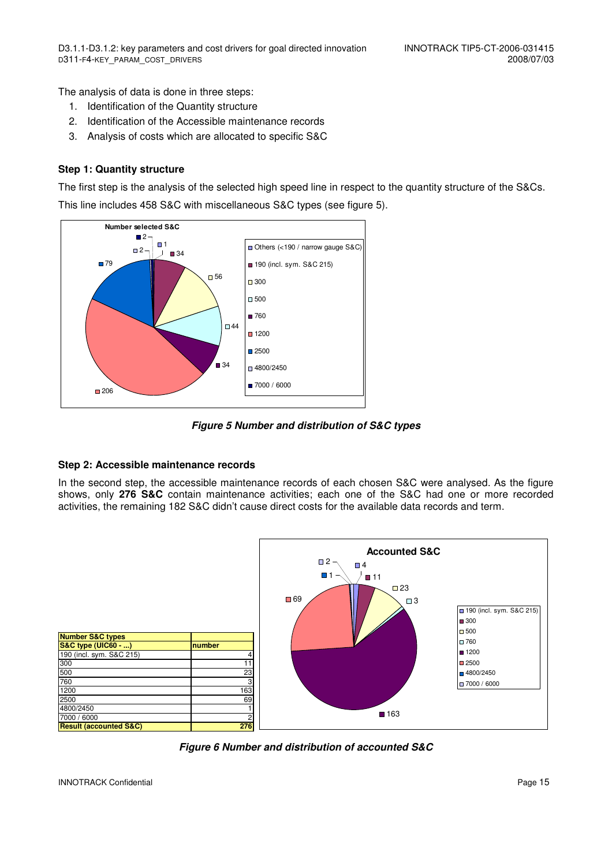The analysis of data is done in three steps:

- 1. Identification of the Quantity structure
- 2. Identification of the Accessible maintenance records
- 3. Analysis of costs which are allocated to specific S&C

#### **Step 1: Quantity structure**

The first step is the analysis of the selected high speed line in respect to the quantity structure of the S&Cs. This line includes 458 S&C with miscellaneous S&C types (see figure 5).



**Figure 5 Number and distribution of S&C types**

#### **Step 2: Accessible maintenance records**

In the second step, the accessible maintenance records of each chosen S&C were analysed. As the figure shows, only **276 S&C** contain maintenance activities; each one of the S&C had one or more recorded activities, the remaining 182 S&C didn't cause direct costs for the available data records and term.



**Figure 6 Number and distribution of accounted S&C**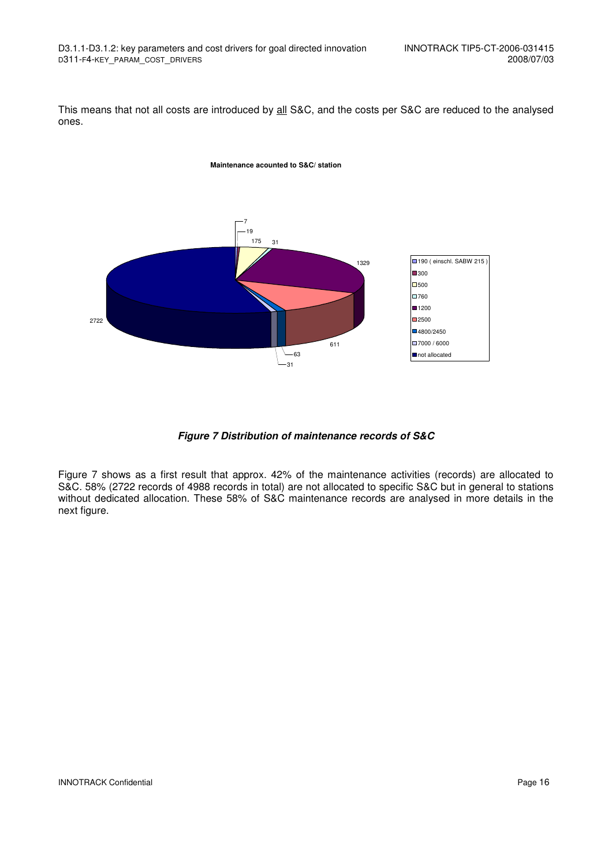This means that not all costs are introduced by all S&C, and the costs per S&C are reduced to the analysed ones.



**Figure 7 Distribution of maintenance records of S&C**

Figure 7 shows as a first result that approx. 42% of the maintenance activities (records) are allocated to S&C. 58% (2722 records of 4988 records in total) are not allocated to specific S&C but in general to stations without dedicated allocation. These 58% of S&C maintenance records are analysed in more details in the next figure.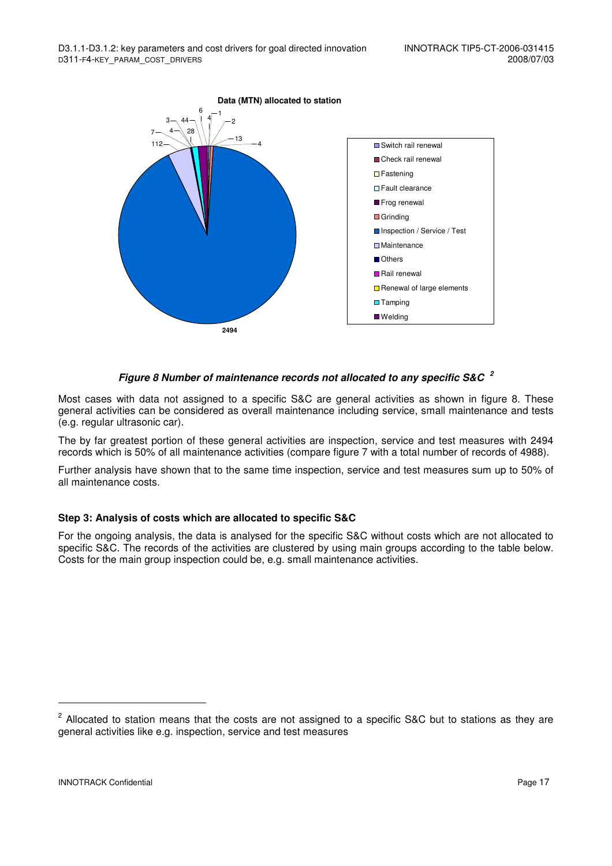

#### **Figure 8 Number of maintenance records not allocated to any specific S&C <sup>2</sup>**

Most cases with data not assigned to a specific S&C are general activities as shown in figure 8. These general activities can be considered as overall maintenance including service, small maintenance and tests (e.g. regular ultrasonic car).

The by far greatest portion of these general activities are inspection, service and test measures with 2494 records which is 50% of all maintenance activities (compare figure 7 with a total number of records of 4988).

Further analysis have shown that to the same time inspection, service and test measures sum up to 50% of all maintenance costs.

#### **Step 3: Analysis of costs which are allocated to specific S&C**

For the ongoing analysis, the data is analysed for the specific S&C without costs which are not allocated to specific S&C. The records of the activities are clustered by using main groups according to the table below. Costs for the main group inspection could be, e.g. small maintenance activities.

l

 $2$  Allocated to station means that the costs are not assigned to a specific S&C but to stations as they are general activities like e.g. inspection, service and test measures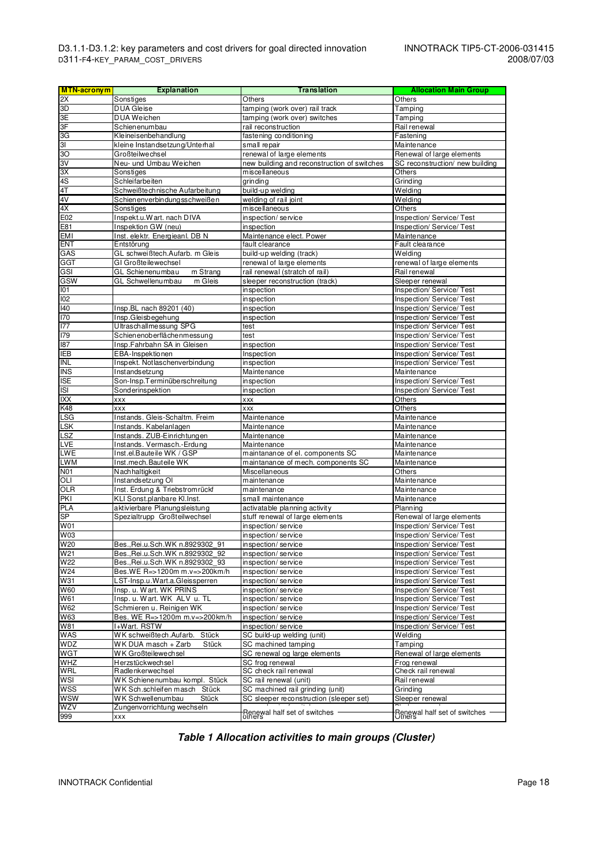| <b>MTN-acronym</b>        | <b>Explanation</b>                           | <b>Translation</b>                          | <b>Allocation Main Group</b>        |
|---------------------------|----------------------------------------------|---------------------------------------------|-------------------------------------|
| 2X                        | Sonstiges                                    | Others                                      | Others                              |
| 3D                        | <b>DUA Gleise</b>                            | tamping (work over) rail track              | Tamping                             |
| 3E                        | <b>DUA Weichen</b>                           | tamping (work over) switches                | Tamping                             |
| 3F                        | Schienenumbau                                | rail reconstruction                         | Rail renewal                        |
| SС                        | Kleineisenbehandlung                         | fastening conditioning                      | Fastening                           |
| 3I                        | kleine Instandsetzung/Unterhal               | small repair                                | Maintenance                         |
| SО                        | Großteilwechsel                              | renewal of large elements                   | Renewal of large elements           |
| 3 <sub>V</sub>            | Neu- und Umbau Weichen                       | new building and reconstruction of switches | SC reconstruction/ new building     |
| ЗX                        | Sonstiges                                    | miscellaneous                               | Others                              |
| 4S                        | <b>Schleifarbeiten</b>                       | grinding                                    | Grinding                            |
| 4 <sub>T</sub>            | Schweißtechnische Aufarbeitung               | build-up welding                            | $\overline{W}$ elding               |
| 4V                        | Schienenverbindungsschweißen                 | welding of rail joint                       | Welding                             |
| 4X                        | Sonstiges                                    | miscellaneous                               | Others                              |
| E02                       | Inspekt.u.Wart. nach DIVA                    | inspection/service                          | Inspection/ Service/ Test           |
| E81                       | Inspektion GW (neu)                          | inspection                                  | Inspection/ Service/ Test           |
| <b>EMI</b>                | Inst. elektr. Energieanl. DB N               | Maintenance elect. Power                    | Maintenance                         |
| <b>ENT</b>                | Entstörung                                   | fault clearance                             | Fault clearance                     |
| GAS                       | GL schweißtech Aufarb. m Gleis               | build-up welding (track)                    | Welding                             |
| <b>GGT</b>                | GI Großteilewechsel                          | renewal of large elements                   | renewal of large elements           |
| GSI                       | GL Schienenumbau<br>m Strang                 | rail renewal (stratch of rail)              | Rail renewal                        |
| GSW                       | GL Schwellenumbau<br>m Gleis                 | sleeper reconstruction (track)              | Sleeper renewal                     |
| 101                       |                                              | inspection                                  | Inspection/ Service/ Test           |
| 102                       |                                              | inspection                                  | Inspection/ Service/ Test           |
| 140                       | Insp.BL nach 89201 (40)                      | inspection                                  | Inspection/ Service/ Test           |
| 170                       | Insp.Gleisbegehung                           | inspection                                  | Inspection/ Service/ Test           |
| 177                       | Ultraschallmessung SPG                       | test                                        | Inspection/ Service/ Test           |
| <b>I79</b>                | Schienenoberflächenmessung                   | test                                        | Inspection/ Service/ Test           |
| 187                       | Insp.Fahrbahn SA in Gleisen                  | inspection                                  | Inspection/ Service/ Test           |
| <b>IEB</b>                | EBA-Inspektionen                             | Inspection                                  | Inspection/ Service/ Test           |
| $\overline{\mathsf{INL}}$ | Inspekt. Notlaschenverbindung                | $\overline{\mathsf{in}}$ spection           | Inspection/ Service/ Test           |
| <b>INS</b>                | Instandsetzung                               | Maintenance                                 | Maintenance                         |
| <b>ISE</b>                | Son-Insp.Terminüberschreitung                | inspection                                  | Inspection/ Service/ Test           |
| <b>ISI</b>                | Sonderinspektion                             | inspection                                  | Inspection/ Service/ Test<br>Others |
| XX                        | <b>XXX</b>                                   | XXX                                         |                                     |
| K48<br><b>LSG</b>         | <b>XXX</b><br>Instands. Gleis-Schaltm. Freim | XXX<br>Maintenance                          | Others<br>Maintenance               |
| LSK                       | Instands. Kabelanlagen                       | Maintenance                                 | Maintenance                         |
| LSZ                       | Instands. ZUB-Einrichtungen                  | Maintenance                                 | Maintenance                         |
| LVE                       | Instands. Vermasch.-Erdung                   | Maintenance                                 | Maintenance                         |
| LWE                       | Inst.el.Bauteile WK / GSP                    | maintanance of el. components SC            | Maintenance                         |
| <b>LWM</b>                | Inst.mech.Bauteile WK                        | maintanance of mech. components SC          | Maintenance                         |
| N01                       | Nachhaltigkeit                               | Miscellaneous                               | Others                              |
| OLI                       | Instandsetzung OI                            | maintenance                                 | Maintenance                         |
| <b>OLR</b>                | Inst. Erdung & Triebstromrückf               | maintenance                                 | Maintenance                         |
| <b>PKI</b>                | KLI Sonst.planbare Kl.Inst.                  | small maintenance                           | Maintenance                         |
| PLA                       | aktivierbare Planungsleistung                | activatable planning activity               | Planning                            |
| SP                        | Spezialtrupp Großteilwechsel                 | stuff renewal of large elements             | Renewal of large elements           |
| W01                       |                                              | inspection/service                          | Inspection/ Service/ Test           |
| W03                       |                                              | inspection/service                          | Inspection/ Service/ Test           |
| W20                       | Bes., Rei.u.Sch.WK n.8929302 91              | inspection/service                          | Inspection/ Service/ Test           |
| W21                       | Bes., Rei.u.Sch.WK n.8929302 92              | inspection/service                          | Inspection/ Service/ Test           |
| W22                       | Bes., Rei.u.Sch.WK n.8929302 93              | inspection/service                          | Inspection/Service/Test             |
| W24                       | Bes.WE R=>1200m m.v=>200km/h                 | inspection/service                          | Inspection/ Service/ Test           |
| W31                       | LST-Insp.u.Wart.a.Gleissperren               | inspection/service                          | Inspection/ Service/ Test           |
| <b>W60</b>                | Insp. u. Wart. WK PRINS                      | inspection/service                          | Inspection/ Service/ Test           |
| W61                       | Insp. u. Wart. WK ALV u. TL                  | inspection/service                          | Inspection/Service/Test             |
| <b>W62</b>                | Schmieren u. Reinigen WK                     | inspection/service                          | Inspection/Service/Test             |
| W63                       | Bes. WE R=>1200m m.v=>200km/h                | inspection/service                          | Inspection/Service/Test             |
| W81                       | I+Wart. RSTW                                 | inspection/service                          | Inspection/ Service/ Test           |
| <b>WAS</b>                | WK schweißtech.Aufarb.<br>Stück              | SC build-up welding (unit)                  | Welding                             |
| WDZ                       | WK DUA masch + Zarb<br>Stück                 | SC machined tamping                         | Tamping                             |
| <b>WGT</b>                | WK Großteilewechsel                          | SC renewal og large elements                | Renewal of large elements           |
| <b>WHZ</b>                | Herzstückwechsel                             | SC frog renewal                             | Frog renewal                        |
| WRL                       | Radlenkerwechsel                             | SC check rail renewal                       | Check rail renewal                  |
| WSI                       | WK Schienenumbau kompl. Stück                | SC rail renewal (unit)                      | Rail renewal                        |
| <b>WSS</b>                | WK Sch.schleifen masch Stück                 | SC machined rail grinding (unit)            | Grinding                            |
| WSW                       | WK Schwellenumbau<br>Stück                   | SC sleeper reconstruction (sleeper set)     | Sleeper renewal                     |
| <b>MZV</b>                | Zungenvorrichtung wechseln                   | Renewal half set of switches                |                                     |
| 999                       | <b>XXX</b>                                   |                                             | Renewal half set of switches        |

**Table 1 Allocation activities to main groups (Cluster)**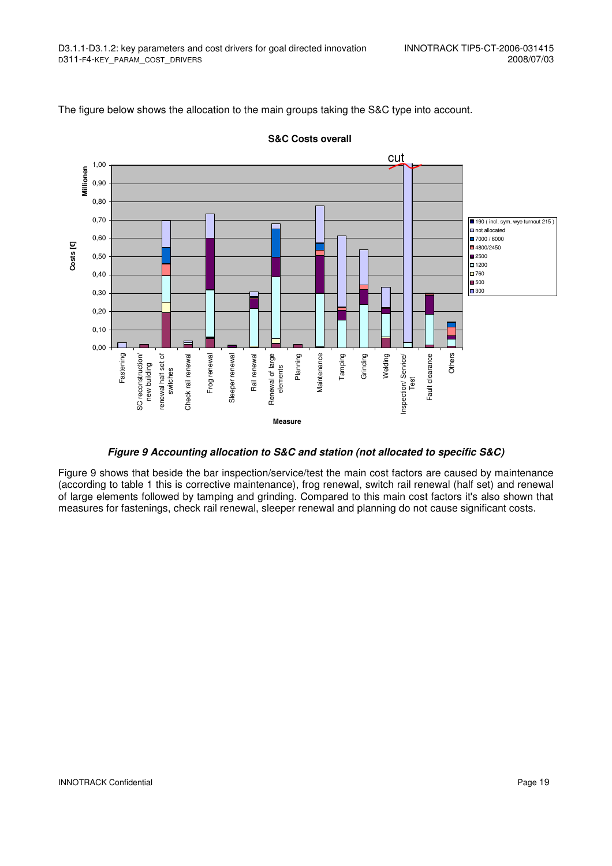The figure below shows the allocation to the main groups taking the S&C type into account.



**S&C Costs overall**

#### **Figure 9 Accounting allocation to S&C and station (not allocated to specific S&C)**

Figure 9 shows that beside the bar inspection/service/test the main cost factors are caused by maintenance (according to table 1 this is corrective maintenance), frog renewal, switch rail renewal (half set) and renewal of large elements followed by tamping and grinding. Compared to this main cost factors it's also shown that measures for fastenings, check rail renewal, sleeper renewal and planning do not cause significant costs.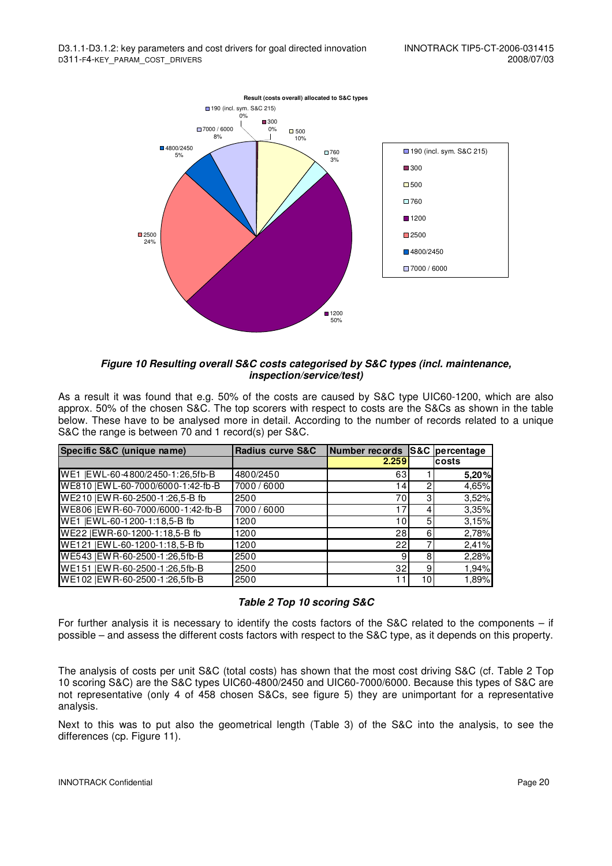

#### **Figure 10 Resulting overall S&C costs categorised by S&C types (incl. maintenance, inspection/service/test)**

As a result it was found that e.g. 50% of the costs are caused by S&C type UIC60-1200, which are also approx. 50% of the chosen S&C. The top scorers with respect to costs are the S&Cs as shown in the table below. These have to be analysed more in detail. According to the number of records related to a unique S&C the range is between 70 and 1 record(s) per S&C.

| Specific S&C (unique name)          | <b>Radius curve S&amp;C</b> | Number records S&C percentage |                |        |
|-------------------------------------|-----------------------------|-------------------------------|----------------|--------|
|                                     |                             | 2.259                         |                | Icosts |
| WE1  EWL-60-4800/2450-1:26,5fb-B    | 4800/2450                   | 63                            |                | 5.20%  |
| WE810   EW L-60-7000/6000-1:42-fb-B | 7000/6000                   | 141                           |                | 4,65%  |
| WE210   EW R-60-2500-1:26,5-B fb    | 2500                        | 701                           | 31             | 3,52%  |
| WE806   EW R-60-7000/6000-1:42-fb-B | 7000/6000                   | 17                            |                | 3,35%  |
| WE1  EWL-60-1200-1:18,5-B fb        | 1200                        | 10                            | 51             | 3.15%  |
| WE22   EWR-60-1200-1:18,5-B fb      | 1200                        | 28                            | 6              | 2,78%  |
| WE121   EW L-60-1200-1:18, 5-B fb   | 1200                        | 22                            |                | 2,41%  |
| WE543   EW R-60-2500-1:26,5fb-B     | 2500                        | 9                             | 8              | 2,28%  |
| WE151 IEW R-60-2500-1:26.5fb-B      | 2500                        | 32                            | $\overline{9}$ | 1,94%  |
| WE102   EW R-60-2500-1:26,5fb-B     | 2500                        |                               | 10I            | 1,89%  |

#### **Table 2 Top 10 scoring S&C**

For further analysis it is necessary to identify the costs factors of the S&C related to the components – if possible – and assess the different costs factors with respect to the S&C type, as it depends on this property.

The analysis of costs per unit S&C (total costs) has shown that the most cost driving S&C (cf. Table 2 Top 10 scoring S&C) are the S&C types UIC60-4800/2450 and UIC60-7000/6000. Because this types of S&C are not representative (only 4 of 458 chosen S&Cs, see figure 5) they are unimportant for a representative analysis.

Next to this was to put also the geometrical length (Table 3) of the S&C into the analysis, to see the differences (cp. Figure 11).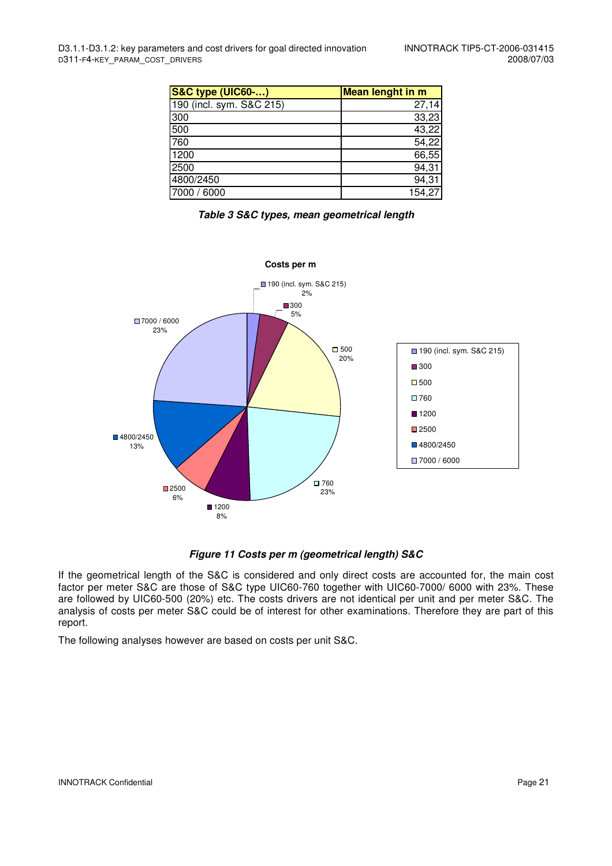| <b>S&amp;C type (UIC60-)</b> | <b>Mean lenght in m</b> |
|------------------------------|-------------------------|
| 190 (incl. sym. S&C 215)     | 27,14                   |
| 300                          | 33,23                   |
| 500                          | 43,22                   |
| 760                          | 54,22                   |
| 1200                         | 66,55                   |
| 2500                         | 94,31                   |
| 4800/2450                    | 94,31                   |
| 7000 / 6000                  | 154.27                  |

**Table 3 S&C types, mean geometrical length** 



#### **Figure 11 Costs per m (geometrical length) S&C**

If the geometrical length of the S&C is considered and only direct costs are accounted for, the main cost factor per meter S&C are those of S&C type UIC60-760 together with UIC60-7000/ 6000 with 23%. These are followed by UIC60-500 (20%) etc. The costs drivers are not identical per unit and per meter S&C. The analysis of costs per meter S&C could be of interest for other examinations. Therefore they are part of this report.

The following analyses however are based on costs per unit S&C.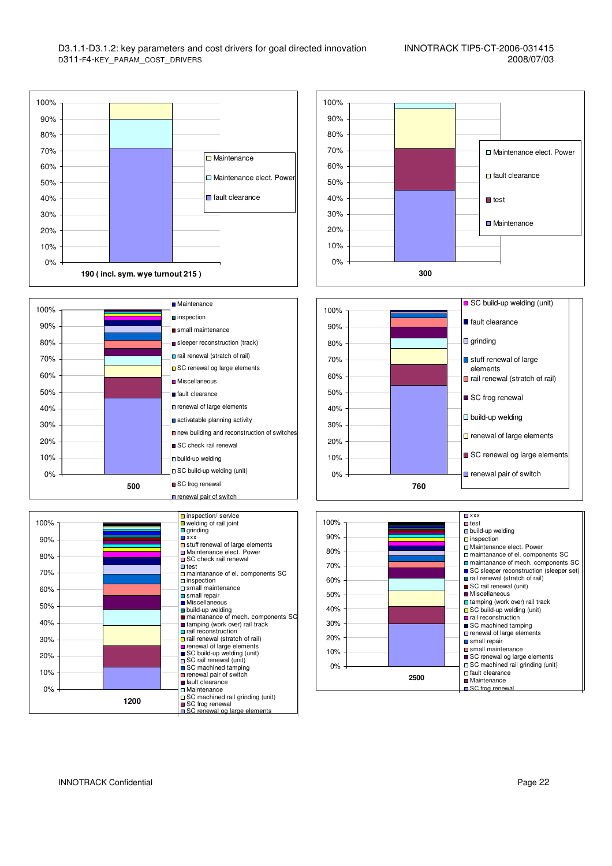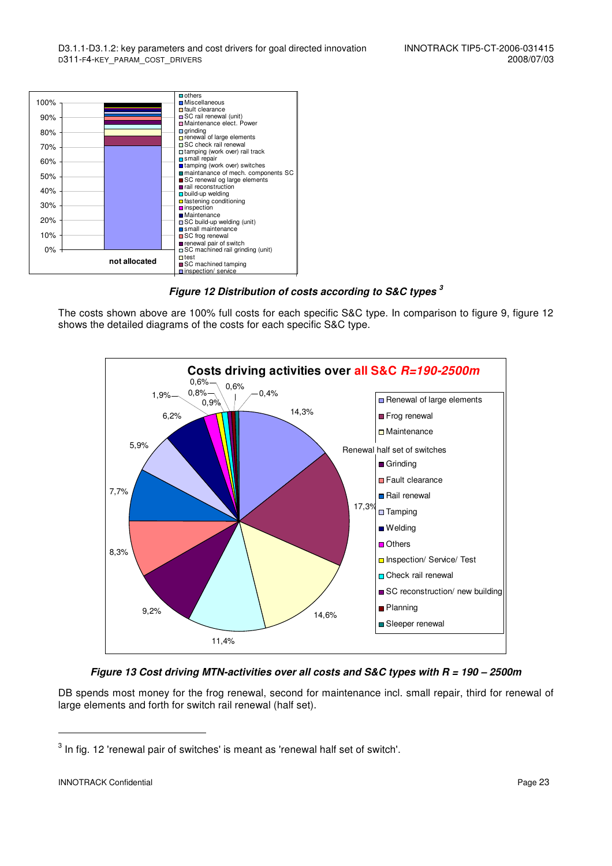

**Figure 12 Distribution of costs according to S&C types <sup>3</sup>**

The costs shown above are 100% full costs for each specific S&C type. In comparison to figure 9, figure 12 shows the detailed diagrams of the costs for each specific S&C type.



**Figure 13 Cost driving MTN-activities over all costs and S&C types with R = 190 – 2500m** 

DB spends most money for the frog renewal, second for maintenance incl. small repair, third for renewal of large elements and forth for switch rail renewal (half set).

-

 $^3$  In fig. 12 'renewal pair of switches' is meant as 'renewal half set of switch'.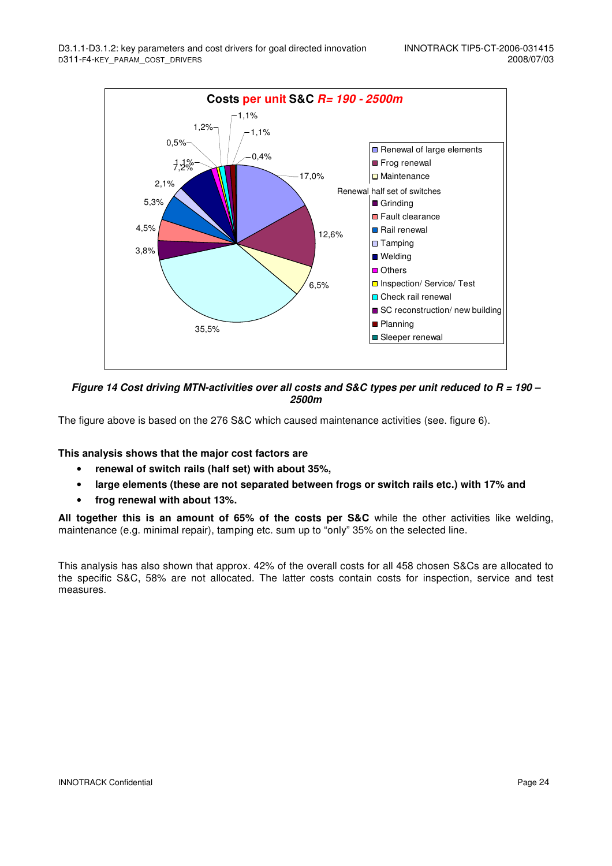

**Figure 14 Cost driving MTN-activities over all costs and S&C types per unit reduced to R = 190 – 2500m** 

The figure above is based on the 276 S&C which caused maintenance activities (see. figure 6).

#### **This analysis shows that the major cost factors are**

- **renewal of switch rails (half set) with about 35%,**
- **large elements (these are not separated between frogs or switch rails etc.) with 17% and**
- **frog renewal with about 13%.**

**All together this is an amount of 65% of the costs per S&C** while the other activities like welding, maintenance (e.g. minimal repair), tamping etc. sum up to "only" 35% on the selected line.

This analysis has also shown that approx. 42% of the overall costs for all 458 chosen S&Cs are allocated to the specific S&C, 58% are not allocated. The latter costs contain costs for inspection, service and test measures.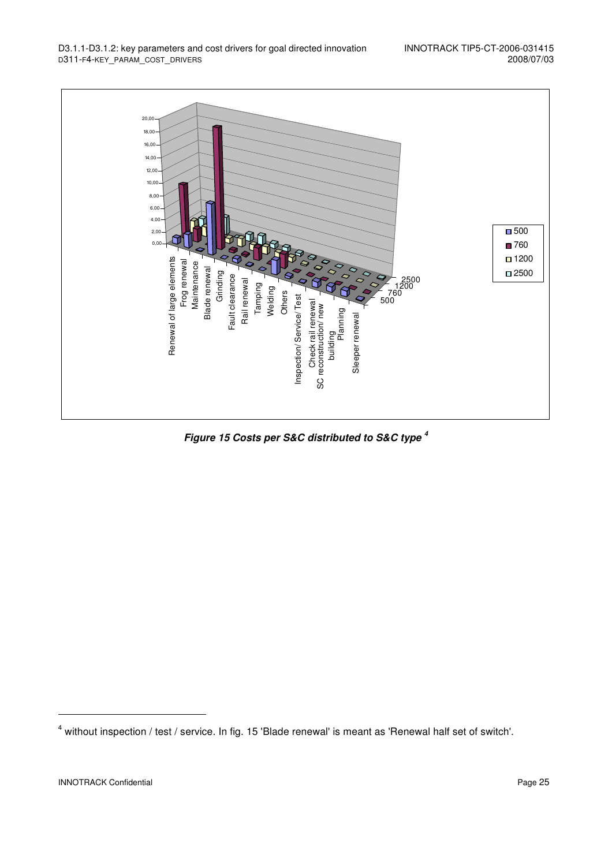

**Figure 15 Costs per S&C distributed to S&C type <sup>4</sup>** 

j

<sup>&</sup>lt;sup>4</sup> without inspection / test / service. In fig. 15 'Blade renewal' is meant as 'Renewal half set of switch'.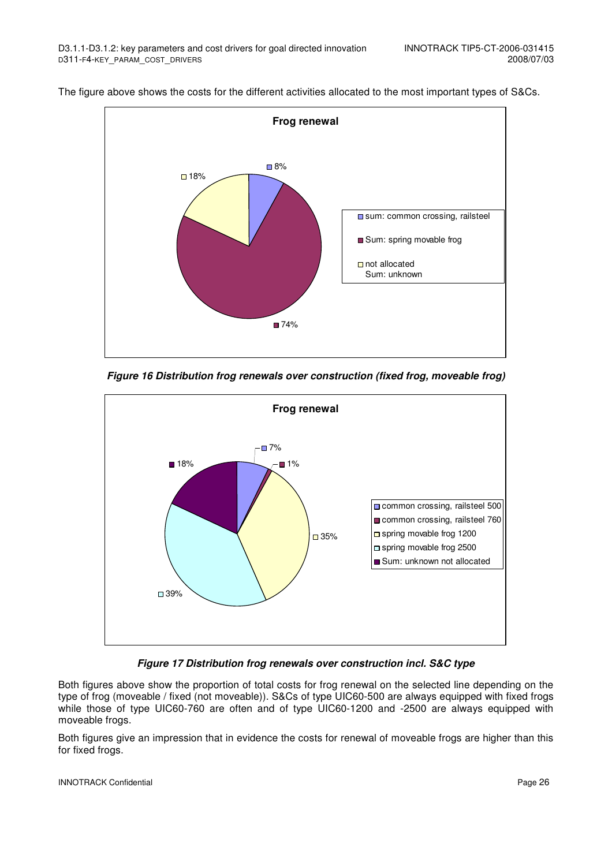

The figure above shows the costs for the different activities allocated to the most important types of S&Cs.

**Figure 16 Distribution frog renewals over construction (fixed frog, moveable frog)** 



**Figure 17 Distribution frog renewals over construction incl. S&C type** 

Both figures above show the proportion of total costs for frog renewal on the selected line depending on the type of frog (moveable / fixed (not moveable)). S&Cs of type UIC60-500 are always equipped with fixed frogs while those of type UIC60-760 are often and of type UIC60-1200 and -2500 are always equipped with moveable frogs.

Both figures give an impression that in evidence the costs for renewal of moveable frogs are higher than this for fixed frogs.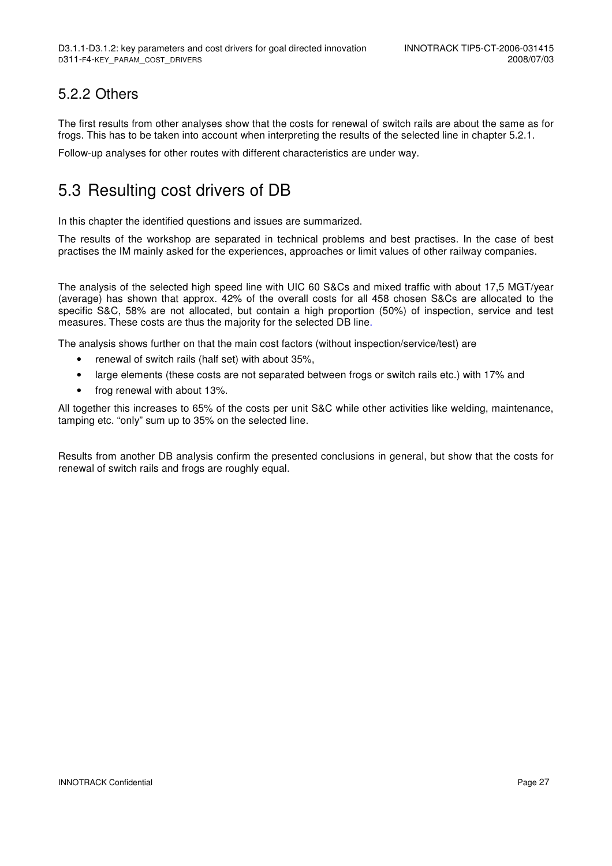### 5.2.2 Others

The first results from other analyses show that the costs for renewal of switch rails are about the same as for frogs. This has to be taken into account when interpreting the results of the selected line in chapter 5.2.1.

Follow-up analyses for other routes with different characteristics are under way.

## 5.3 Resulting cost drivers of DB

In this chapter the identified questions and issues are summarized.

The results of the workshop are separated in technical problems and best practises. In the case of best practises the IM mainly asked for the experiences, approaches or limit values of other railway companies.

The analysis of the selected high speed line with UIC 60 S&Cs and mixed traffic with about 17,5 MGT/year (average) has shown that approx. 42% of the overall costs for all 458 chosen S&Cs are allocated to the specific S&C, 58% are not allocated, but contain a high proportion (50%) of inspection, service and test measures. These costs are thus the majority for the selected DB line.

The analysis shows further on that the main cost factors (without inspection/service/test) are

- renewal of switch rails (half set) with about 35%,
- large elements (these costs are not separated between frogs or switch rails etc.) with 17% and
- frog renewal with about 13%.

All together this increases to 65% of the costs per unit S&C while other activities like welding, maintenance, tamping etc. "only" sum up to 35% on the selected line.

Results from another DB analysis confirm the presented conclusions in general, but show that the costs for renewal of switch rails and frogs are roughly equal.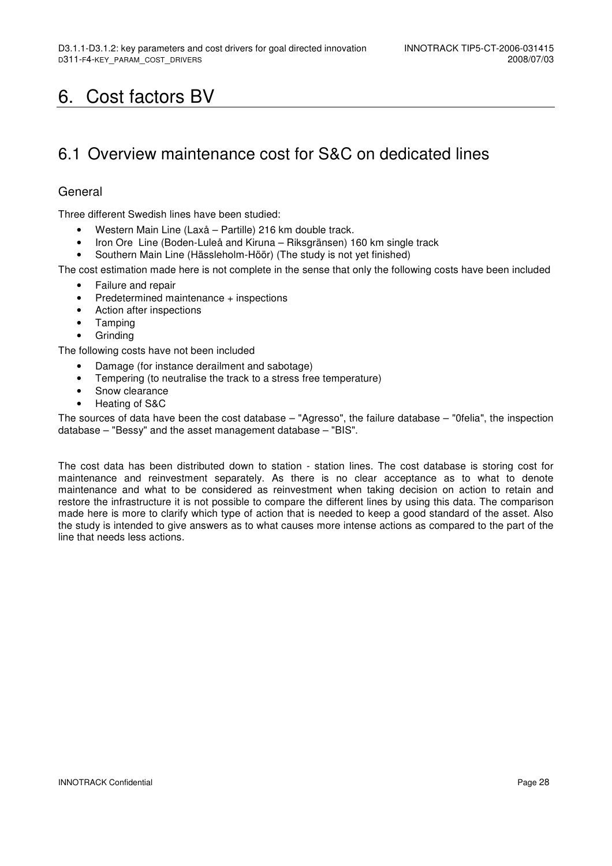## 6. Cost factors BV

## 6.1 Overview maintenance cost for S&C on dedicated lines

#### General

Three different Swedish lines have been studied:

- Western Main Line (Laxå Partille) 216 km double track.
- Iron Ore Line (Boden-Luleå and Kiruna Riksgränsen) 160 km single track
- Southern Main Line (Hässleholm-Höör) (The study is not yet finished)

The cost estimation made here is not complete in the sense that only the following costs have been included

- Failure and repair
- Predetermined maintenance + inspections
- Action after inspections
- Tamping
- Grinding

The following costs have not been included

- Damage (for instance derailment and sabotage)
- Tempering (to neutralise the track to a stress free temperature)
- Snow clearance
- Heating of S&C

The sources of data have been the cost database – "Agresso", the failure database – "0felia", the inspection database – "Bessy" and the asset management database – "BIS".

The cost data has been distributed down to station - station lines. The cost database is storing cost for maintenance and reinvestment separately. As there is no clear acceptance as to what to denote maintenance and what to be considered as reinvestment when taking decision on action to retain and restore the infrastructure it is not possible to compare the different lines by using this data. The comparison made here is more to clarify which type of action that is needed to keep a good standard of the asset. Also the study is intended to give answers as to what causes more intense actions as compared to the part of the line that needs less actions.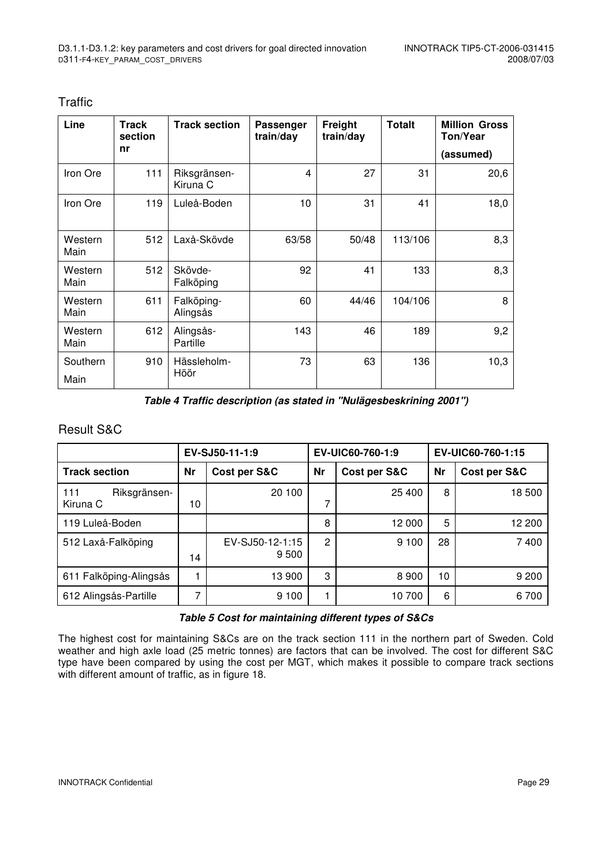| Line             | <b>Track</b><br>section<br>nr | <b>Track section</b>     | Passenger<br>train/day | Freight<br>train/day | <b>Totalt</b> | <b>Million Gross</b><br>Ton/Year |
|------------------|-------------------------------|--------------------------|------------------------|----------------------|---------------|----------------------------------|
|                  |                               |                          |                        |                      |               | (assumed)                        |
| Iron Ore         | 111                           | Riksgränsen-<br>Kiruna C | 4                      | 27                   | 31            | 20,6                             |
| Iron Ore         | 119                           | Luleå-Boden              | 10                     | 31                   | 41            | 18,0                             |
| Western<br>Main  | 512                           | Laxå-Skövde              | 63/58                  | 50/48                | 113/106       | 8,3                              |
| Western<br>Main  | 512                           | Skövde-<br>Falköping     | 92                     | 41                   | 133           | 8,3                              |
| Western<br>Main  | 611                           | Falköping-<br>Alingsås   | 60                     | 44/46                | 104/106       | 8                                |
| Western<br>Main  | 612                           | Alingsås-<br>Partille    | 143                    | 46                   | 189           | 9,2                              |
| Southern<br>Main | 910                           | Hässleholm-<br>Höör      | 73                     | 63                   | 136           | 10,3                             |

#### Traffic

**Table 4 Traffic description (as stated in "Nulägesbeskrining 2001")** 

### Result S&C

|                                 |           | EV-SJ50-11-1:9           |                | EV-UIC60-760-1:9 | EV-UIC60-760-1:15 |              |  |
|---------------------------------|-----------|--------------------------|----------------|------------------|-------------------|--------------|--|
| <b>Track section</b>            | <b>Nr</b> | Cost per S&C             | <b>Nr</b>      | Cost per S&C     | <b>Nr</b>         | Cost per S&C |  |
| 111<br>Riksgränsen-<br>Kiruna C | 10        | 20 100                   |                | 25 400           | 8                 | 18 500       |  |
| 119 Luleå-Boden                 |           |                          | 8              | 12 000           | 5                 | 12 200       |  |
| 512 Laxå-Falköping              | 14        | EV-SJ50-12-1:15<br>9 500 | $\overline{2}$ | 9 100            | 28                | 7400         |  |
| 611 Falköping-Alingsås          |           | 13 900                   | 3              | 8 9 0 0          | 10                | 9 2 0 0      |  |
| 612 Alingsås-Partille           |           | 9 1 0 0                  |                | 10 700           | 6                 | 6700         |  |

#### **Table 5 Cost for maintaining different types of S&Cs**

The highest cost for maintaining S&Cs are on the track section 111 in the northern part of Sweden. Cold weather and high axle load (25 metric tonnes) are factors that can be involved. The cost for different S&C type have been compared by using the cost per MGT, which makes it possible to compare track sections with different amount of traffic, as in figure 18.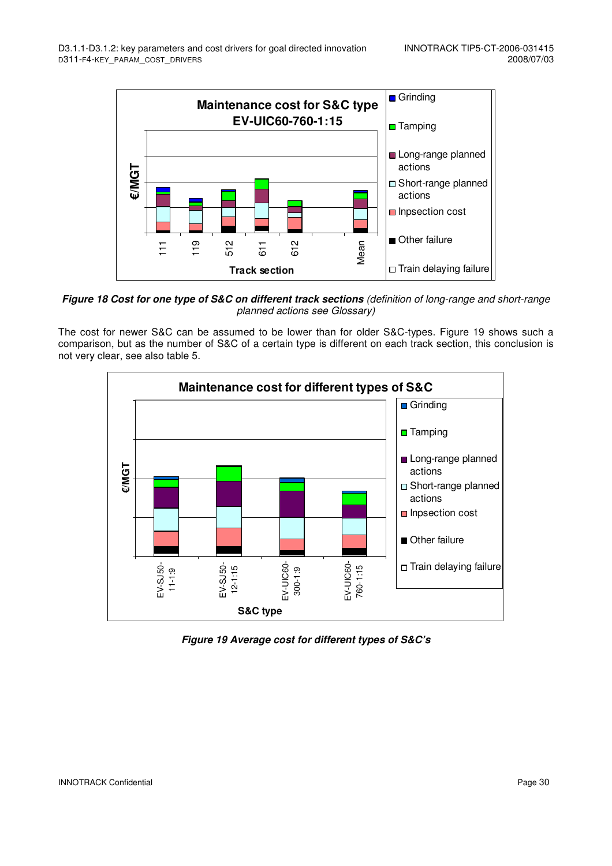

**Figure 18 Cost for one type of S&C on different track sections** (definition of long-range and short-range planned actions see Glossary)

The cost for newer S&C can be assumed to be lower than for older S&C-types. Figure 19 shows such a comparison, but as the number of S&C of a certain type is different on each track section, this conclusion is not very clear, see also table 5.



**Figure 19 Average cost for different types of S&C's**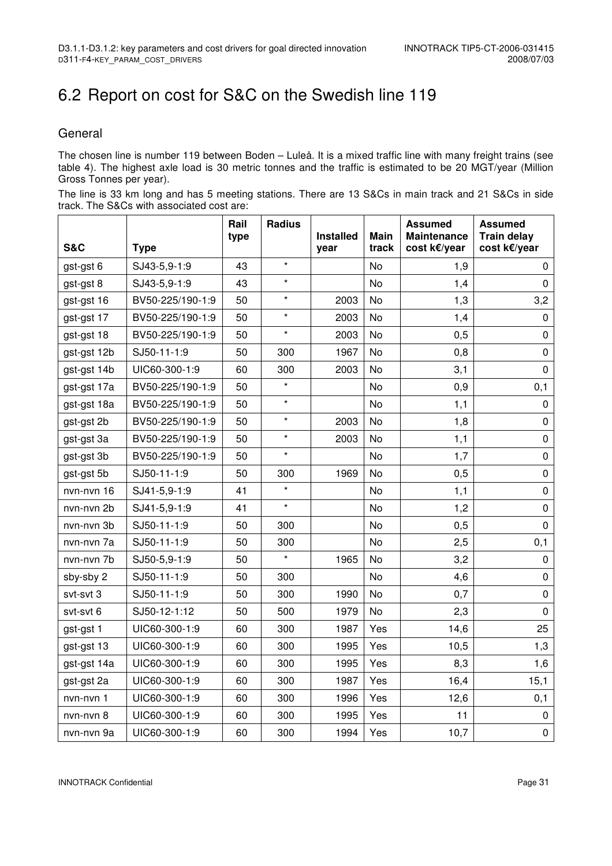# 6.2 Report on cost for S&C on the Swedish line 119

### **General**

The chosen line is number 119 between Boden – Luleå. It is a mixed traffic line with many freight trains (see table 4). The highest axle load is 30 metric tonnes and the traffic is estimated to be 20 MGT/year (Million Gross Tonnes per year).

|                                           | The line is 33 km long and has 5 meeting stations. There are 13 S&Cs in main track and 21 S&Cs in side |
|-------------------------------------------|--------------------------------------------------------------------------------------------------------|
| track. The S&Cs with associated cost are: |                                                                                                        |

|                |                  | Rail<br>type | <b>Radius</b> | <b>Installed</b> | <b>Main</b> | <b>Assumed</b><br><b>Maintenance</b> | <b>Assumed</b><br><b>Train delay</b> |
|----------------|------------------|--------------|---------------|------------------|-------------|--------------------------------------|--------------------------------------|
| <b>S&amp;C</b> | <b>Type</b>      |              |               | year             | track       | cost k€/year                         | cost k€/year                         |
| gst-gst 6      | SJ43-5,9-1:9     | 43           | $\star$       |                  | No          | 1,9                                  | 0                                    |
| gst-gst 8      | SJ43-5,9-1:9     | 43           | $\star$       |                  | No          | 1,4                                  | $\mathbf 0$                          |
| gst-gst 16     | BV50-225/190-1:9 | 50           | $\star$       | 2003             | No          | 1,3                                  | 3,2                                  |
| gst-gst 17     | BV50-225/190-1:9 | 50           | $\star$       | 2003             | No          | 1,4                                  | $\mathbf 0$                          |
| gst-gst 18     | BV50-225/190-1:9 | 50           | $\star$       | 2003             | No          | 0,5                                  | $\pmb{0}$                            |
| gst-gst 12b    | SJ50-11-1:9      | 50           | 300           | 1967             | No          | 0,8                                  | $\pmb{0}$                            |
| gst-gst 14b    | UIC60-300-1:9    | 60           | 300           | 2003             | No          | 3,1                                  | $\pmb{0}$                            |
| gst-gst 17a    | BV50-225/190-1:9 | 50           | $\star$       |                  | No          | 0,9                                  | 0,1                                  |
| gst-gst 18a    | BV50-225/190-1:9 | 50           | $\star$       |                  | No          | 1,1                                  | $\mathbf 0$                          |
| gst-gst 2b     | BV50-225/190-1:9 | 50           | $\star$       | 2003             | No          | 1,8                                  | $\pmb{0}$                            |
| gst-gst 3a     | BV50-225/190-1:9 | 50           | $\star$       | 2003             | No          | 1,1                                  | $\pmb{0}$                            |
| gst-gst 3b     | BV50-225/190-1:9 | 50           | $\star$       |                  | No          | 1,7                                  | $\mathbf 0$                          |
| gst-gst 5b     | SJ50-11-1:9      | 50           | 300           | 1969             | No          | 0,5                                  | $\pmb{0}$                            |
| nvn-nvn 16     | SJ41-5,9-1:9     | 41           | $\star$       |                  | No          | 1,1                                  | $\pmb{0}$                            |
| nvn-nvn 2b     | SJ41-5,9-1:9     | 41           | $\star$       |                  | No          | 1,2                                  | $\pmb{0}$                            |
| nvn-nvn 3b     | SJ50-11-1:9      | 50           | 300           |                  | No          | 0,5                                  | $\pmb{0}$                            |
| nvn-nvn 7a     | SJ50-11-1:9      | 50           | 300           |                  | No          | 2,5                                  | 0,1                                  |
| nvn-nvn 7b     | SJ50-5,9-1:9     | 50           | $\star$       | 1965             | No          | 3,2                                  | $\pmb{0}$                            |
| sby-sby 2      | SJ50-11-1:9      | 50           | 300           |                  | No          | 4,6                                  | $\mathbf 0$                          |
| svt-svt 3      | SJ50-11-1:9      | 50           | 300           | 1990             | No          | 0,7                                  | $\pmb{0}$                            |
| svt-svt 6      | SJ50-12-1:12     | 50           | 500           | 1979             | No          | 2,3                                  | $\mathbf 0$                          |
| gst-gst 1      | UIC60-300-1:9    | 60           | 300           | 1987             | Yes         | 14,6                                 | 25                                   |
| gst-gst 13     | UIC60-300-1:9    | 60           | 300           | 1995             | Yes         | 10,5                                 | 1,3                                  |
| gst-gst 14a    | UIC60-300-1:9    | 60           | 300           | 1995             | Yes         | 8,3                                  | 1,6                                  |
| gst-gst 2a     | UIC60-300-1:9    | 60           | 300           | 1987             | Yes         | 16,4                                 | 15,1                                 |
| nvn-nvn 1      | UIC60-300-1:9    | 60           | 300           | 1996             | Yes         | 12,6                                 | 0,1                                  |
| nvn-nvn 8      | UIC60-300-1:9    | 60           | 300           | 1995             | Yes         | 11                                   | $\pmb{0}$                            |
| nvn-nvn 9a     | UIC60-300-1:9    | 60           | 300           | 1994             | Yes         | 10,7                                 | $\pmb{0}$                            |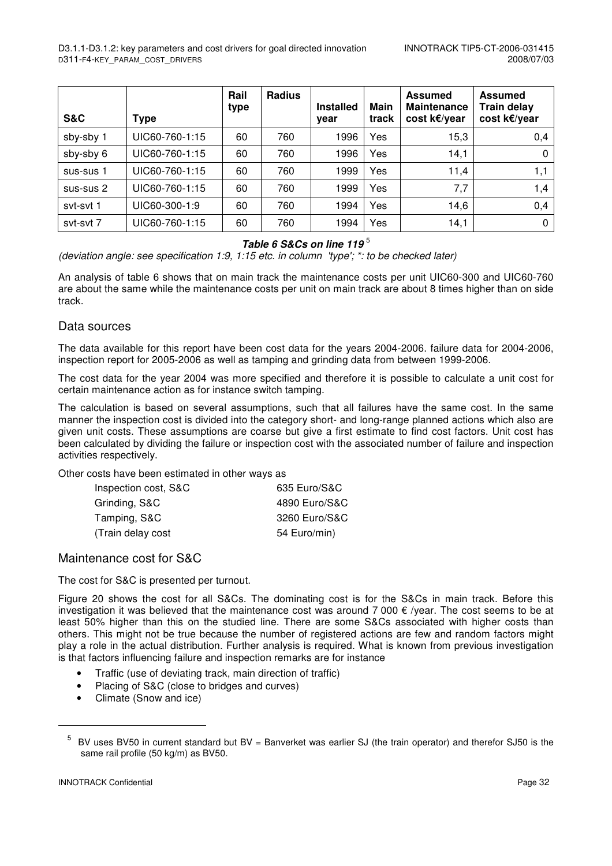| <b>S&amp;C</b> | <b>Type</b>    | Rail<br>type | <b>Radius</b> | <b>Installed</b><br>year | Main<br>track | <b>Assumed</b><br><b>Maintenance</b><br>cost k€/year | <b>Assumed</b><br><b>Train delay</b><br>cost k€/year |
|----------------|----------------|--------------|---------------|--------------------------|---------------|------------------------------------------------------|------------------------------------------------------|
| sby-sby 1      | UIC60-760-1:15 | 60           | 760           | 1996                     | Yes           | 15,3                                                 | 0,4                                                  |
| sby-sby 6      | UIC60-760-1:15 | 60           | 760           | 1996                     | Yes           | 14,1                                                 | $\Omega$                                             |
| sus-sus 1      | UIC60-760-1:15 | 60           | 760           | 1999                     | Yes           | 11,4                                                 | 1,1                                                  |
| sus-sus 2      | UIC60-760-1:15 | 60           | 760           | 1999                     | Yes           | 7,7                                                  | 1,4                                                  |
| syt-syt 1      | UIC60-300-1:9  | 60           | 760           | 1994                     | Yes           | 14,6                                                 | 0,4                                                  |
| syt-syt 7      | UIC60-760-1:15 | 60           | 760           | 1994                     | Yes           | 14,1                                                 | $\Omega$                                             |

#### **Table 6 S&Cs on line 119** <sup>5</sup>

(deviation angle: see specification 1:9, 1:15 etc. in column 'type'; \*: to be checked later)

An analysis of table 6 shows that on main track the maintenance costs per unit UIC60-300 and UIC60-760 are about the same while the maintenance costs per unit on main track are about 8 times higher than on side track.

#### Data sources

The data available for this report have been cost data for the years 2004-2006. failure data for 2004-2006, inspection report for 2005-2006 as well as tamping and grinding data from between 1999-2006.

The cost data for the year 2004 was more specified and therefore it is possible to calculate a unit cost for certain maintenance action as for instance switch tamping.

The calculation is based on several assumptions, such that all failures have the same cost. In the same manner the inspection cost is divided into the category short- and long-range planned actions which also are given unit costs. These assumptions are coarse but give a first estimate to find cost factors. Unit cost has been calculated by dividing the failure or inspection cost with the associated number of failure and inspection activities respectively.

Other costs have been estimated in other ways as

| Inspection cost, S&C | 635 Euro/S&C  |
|----------------------|---------------|
| Grinding, S&C        | 4890 Euro/S&C |
| Tamping, S&C         | 3260 Euro/S&C |
| (Train delay cost    | 54 Euro/min)  |
|                      |               |

#### Maintenance cost for S&C

The cost for S&C is presented per turnout.

Figure 20 shows the cost for all S&Cs. The dominating cost is for the S&Cs in main track. Before this investigation it was believed that the maintenance cost was around 7 000  $\epsilon$  /year. The cost seems to be at least 50% higher than this on the studied line. There are some S&Cs associated with higher costs than others. This might not be true because the number of registered actions are few and random factors might play a role in the actual distribution. Further analysis is required. What is known from previous investigation is that factors influencing failure and inspection remarks are for instance

- Traffic (use of deviating track, main direction of traffic)
- Placing of S&C (close to bridges and curves)
- Climate (Snow and ice)

l

<sup>5</sup> BV uses BV50 in current standard but BV = Banverket was earlier SJ (the train operator) and therefor SJ50 is the same rail profile (50 kg/m) as BV50.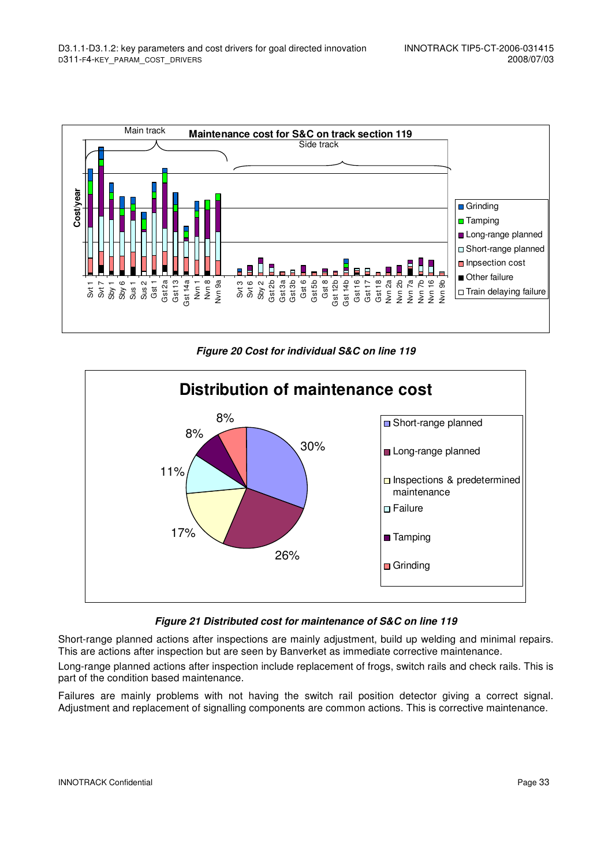

**Figure 20 Cost for individual S&C on line 119** 



#### **Figure 21 Distributed cost for maintenance of S&C on line 119**

Short-range planned actions after inspections are mainly adjustment, build up welding and minimal repairs. This are actions after inspection but are seen by Banverket as immediate corrective maintenance.

Long-range planned actions after inspection include replacement of frogs, switch rails and check rails. This is part of the condition based maintenance.

Failures are mainly problems with not having the switch rail position detector giving a correct signal. Adjustment and replacement of signalling components are common actions. This is corrective maintenance.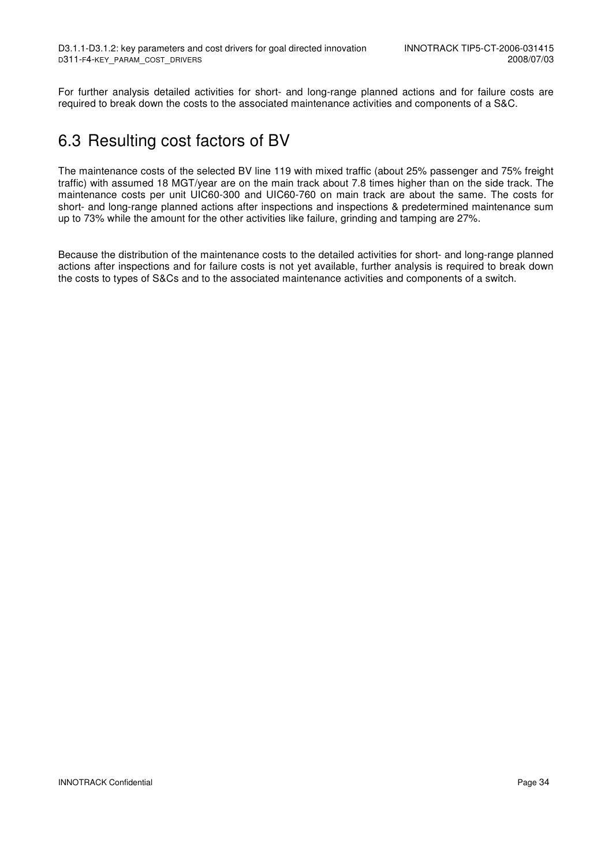For further analysis detailed activities for short- and long-range planned actions and for failure costs are required to break down the costs to the associated maintenance activities and components of a S&C.

### 6.3 Resulting cost factors of BV

The maintenance costs of the selected BV line 119 with mixed traffic (about 25% passenger and 75% freight traffic) with assumed 18 MGT/year are on the main track about 7.8 times higher than on the side track. The maintenance costs per unit UIC60-300 and UIC60-760 on main track are about the same. The costs for short- and long-range planned actions after inspections and inspections & predetermined maintenance sum up to 73% while the amount for the other activities like failure, grinding and tamping are 27%.

Because the distribution of the maintenance costs to the detailed activities for short- and long-range planned actions after inspections and for failure costs is not yet available, further analysis is required to break down the costs to types of S&Cs and to the associated maintenance activities and components of a switch.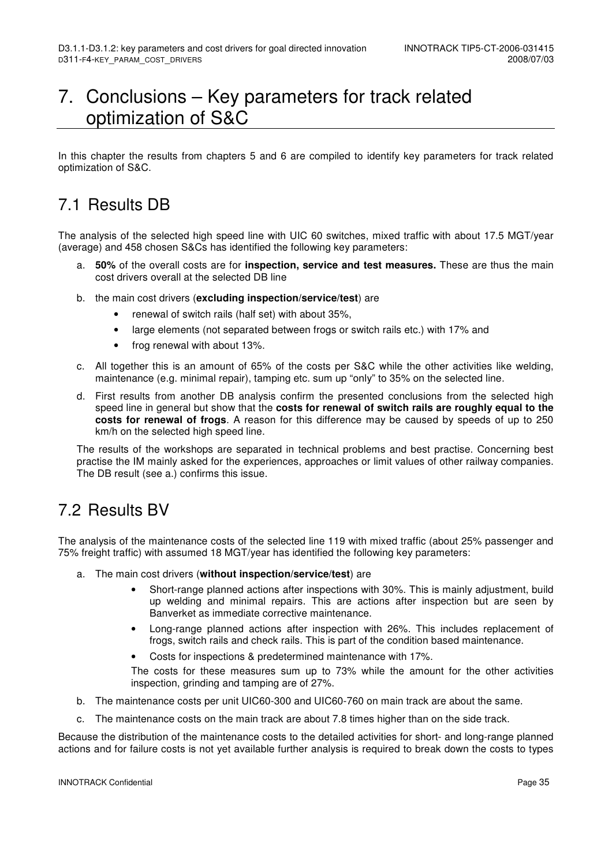## 7. Conclusions – Key parameters for track related optimization of S&C

In this chapter the results from chapters 5 and 6 are compiled to identify key parameters for track related optimization of S&C.

### 7.1 Results DB

The analysis of the selected high speed line with UIC 60 switches, mixed traffic with about 17.5 MGT/year (average) and 458 chosen S&Cs has identified the following key parameters:

- a. **50%** of the overall costs are for **inspection, service and test measures.** These are thus the main cost drivers overall at the selected DB line
- b. the main cost drivers (**excluding inspection/service/test**) are
	- renewal of switch rails (half set) with about 35%,
	- large elements (not separated between frogs or switch rails etc.) with 17% and
	- frog renewal with about 13%.
- c. All together this is an amount of 65% of the costs per S&C while the other activities like welding, maintenance (e.g. minimal repair), tamping etc. sum up "only" to 35% on the selected line.
- d. First results from another DB analysis confirm the presented conclusions from the selected high speed line in general but show that the **costs for renewal of switch rails are roughly equal to the costs for renewal of frogs**. A reason for this difference may be caused by speeds of up to 250 km/h on the selected high speed line.

The results of the workshops are separated in technical problems and best practise. Concerning best practise the IM mainly asked for the experiences, approaches or limit values of other railway companies. The DB result (see a.) confirms this issue.

### 7.2 Results BV

The analysis of the maintenance costs of the selected line 119 with mixed traffic (about 25% passenger and 75% freight traffic) with assumed 18 MGT/year has identified the following key parameters:

- a. The main cost drivers (**without inspection/service/test**) are
	- Short-range planned actions after inspections with 30%. This is mainly adjustment, build up welding and minimal repairs. This are actions after inspection but are seen by Banverket as immediate corrective maintenance.
	- Long-range planned actions after inspection with 26%. This includes replacement of frogs, switch rails and check rails. This is part of the condition based maintenance.
	- Costs for inspections & predetermined maintenance with 17%.

The costs for these measures sum up to 73% while the amount for the other activities inspection, grinding and tamping are of 27%.

- b. The maintenance costs per unit UIC60-300 and UIC60-760 on main track are about the same.
- c. The maintenance costs on the main track are about 7.8 times higher than on the side track.

Because the distribution of the maintenance costs to the detailed activities for short- and long-range planned actions and for failure costs is not yet available further analysis is required to break down the costs to types